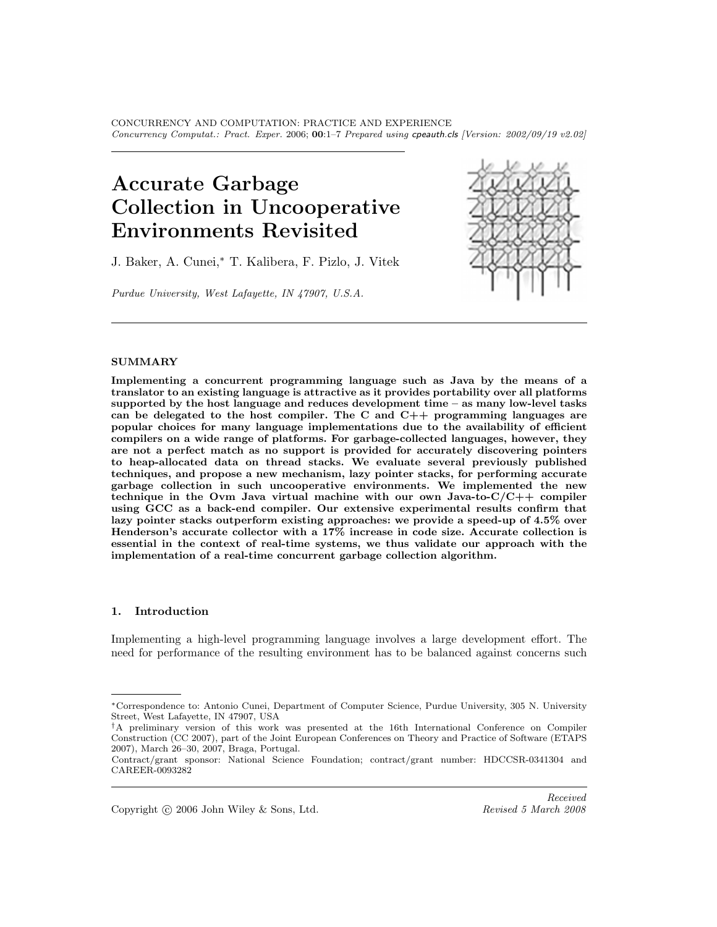CONCURRENCY AND COMPUTATION: PRACTICE AND EXPERIENCE Concurrency Computat.: Pract. Exper. 2006; 00:1–7 Prepared using cpeauth.cls [Version: 2002/09/19 v2.02]

# Accurate Garbage Collection in Uncooperative Environments Revisited

J. Baker, A. Cunei,<sup>∗</sup> T. Kalibera, F. Pizlo, J. Vitek

Purdue University, West Lafayette, IN 47907, U.S.A.



# SUMMARY

Implementing a concurrent programming language such as Java by the means of a translator to an existing language is attractive as it provides portability over all platforms supported by the host language and reduces development time – as many low-level tasks can be delegated to the host compiler. The C and  $C++$  programming languages are popular choices for many language implementations due to the availability of efficient compilers on a wide range of platforms. For garbage-collected languages, however, they are not a perfect match as no support is provided for accurately discovering pointers to heap-allocated data on thread stacks. We evaluate several previously published techniques, and propose a new mechanism, lazy pointer stacks, for performing accurate garbage collection in such uncooperative environments. We implemented the new technique in the Ovm Java virtual machine with our own Java-to- $C/C++$  compiler using GCC as a back-end compiler. Our extensive experimental results confirm that lazy pointer stacks outperform existing approaches: we provide a speed-up of 4.5% over Henderson's accurate collector with a 17% increase in code size. Accurate collection is essential in the context of real-time systems, we thus validate our approach with the implementation of a real-time concurrent garbage collection algorithm.

# 1. Introduction

Implementing a high-level programming language involves a large development effort. The need for performance of the resulting environment has to be balanced against concerns such

Copyright  $\odot$  2006 John Wiley & Sons, Ltd.

<sup>∗</sup>Correspondence to: Antonio Cunei, Department of Computer Science, Purdue University, 305 N. University Street, West Lafayette, IN 47907, USA

<sup>†</sup>A preliminary version of this work was presented at the 16th International Conference on Compiler Construction (CC 2007), part of the Joint European Conferences on Theory and Practice of Software (ETAPS 2007), March 26–30, 2007, Braga, Portugal.

Contract/grant sponsor: National Science Foundation; contract/grant number: HDCCSR-0341304 and CAREER-0093282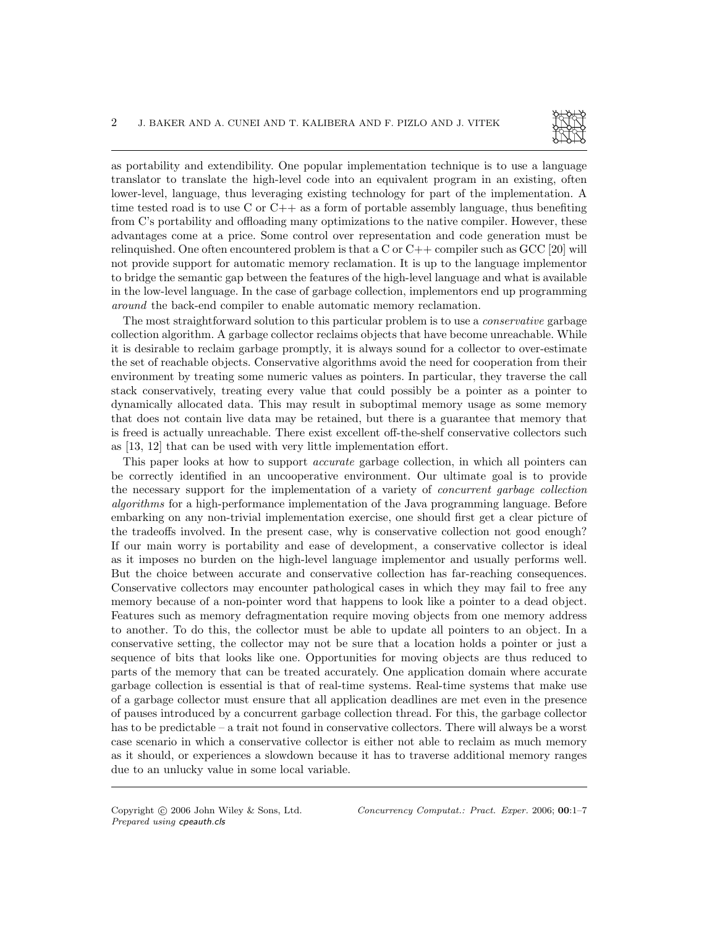

as portability and extendibility. One popular implementation technique is to use a language translator to translate the high-level code into an equivalent program in an existing, often lower-level, language, thus leveraging existing technology for part of the implementation. A time tested road is to use C or  $C_{++}$  as a form of portable assembly language, thus benefiting from C's portability and offloading many optimizations to the native compiler. However, these advantages come at a price. Some control over representation and code generation must be relinquished. One often encountered problem is that a C or  $C++$  compiler such as GCC [20] will not provide support for automatic memory reclamation. It is up to the language implementor to bridge the semantic gap between the features of the high-level language and what is available in the low-level language. In the case of garbage collection, implementors end up programming around the back-end compiler to enable automatic memory reclamation.

The most straightforward solution to this particular problem is to use a conservative garbage collection algorithm. A garbage collector reclaims objects that have become unreachable. While it is desirable to reclaim garbage promptly, it is always sound for a collector to over-estimate the set of reachable objects. Conservative algorithms avoid the need for cooperation from their environment by treating some numeric values as pointers. In particular, they traverse the call stack conservatively, treating every value that could possibly be a pointer as a pointer to dynamically allocated data. This may result in suboptimal memory usage as some memory that does not contain live data may be retained, but there is a guarantee that memory that is freed is actually unreachable. There exist excellent off-the-shelf conservative collectors such as [13, 12] that can be used with very little implementation effort.

This paper looks at how to support accurate garbage collection, in which all pointers can be correctly identified in an uncooperative environment. Our ultimate goal is to provide the necessary support for the implementation of a variety of concurrent garbage collection algorithms for a high-performance implementation of the Java programming language. Before embarking on any non-trivial implementation exercise, one should first get a clear picture of the tradeoffs involved. In the present case, why is conservative collection not good enough? If our main worry is portability and ease of development, a conservative collector is ideal as it imposes no burden on the high-level language implementor and usually performs well. But the choice between accurate and conservative collection has far-reaching consequences. Conservative collectors may encounter pathological cases in which they may fail to free any memory because of a non-pointer word that happens to look like a pointer to a dead object. Features such as memory defragmentation require moving objects from one memory address to another. To do this, the collector must be able to update all pointers to an object. In a conservative setting, the collector may not be sure that a location holds a pointer or just a sequence of bits that looks like one. Opportunities for moving objects are thus reduced to parts of the memory that can be treated accurately. One application domain where accurate garbage collection is essential is that of real-time systems. Real-time systems that make use of a garbage collector must ensure that all application deadlines are met even in the presence of pauses introduced by a concurrent garbage collection thread. For this, the garbage collector has to be predictable – a trait not found in conservative collectors. There will always be a worst case scenario in which a conservative collector is either not able to reclaim as much memory as it should, or experiences a slowdown because it has to traverse additional memory ranges due to an unlucky value in some local variable.

Prepared using cpeauth.cls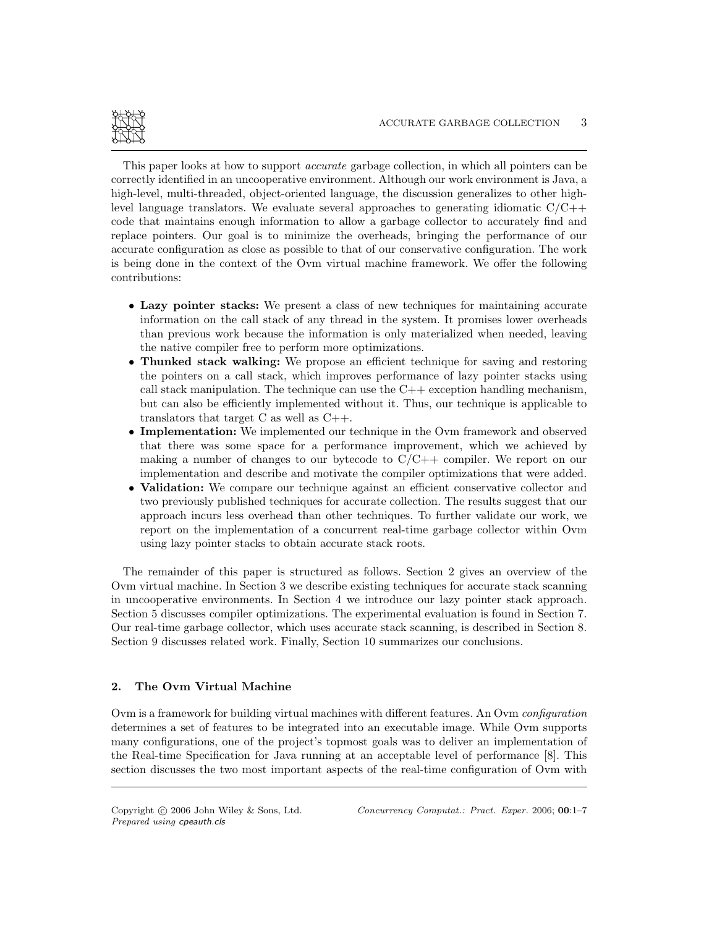

This paper looks at how to support accurate garbage collection, in which all pointers can be correctly identified in an uncooperative environment. Although our work environment is Java, a high-level, multi-threaded, object-oriented language, the discussion generalizes to other highlevel language translators. We evaluate several approaches to generating idiomatic  $C/C++$ code that maintains enough information to allow a garbage collector to accurately find and replace pointers. Our goal is to minimize the overheads, bringing the performance of our accurate configuration as close as possible to that of our conservative configuration. The work is being done in the context of the Ovm virtual machine framework. We offer the following contributions:

- Lazy pointer stacks: We present a class of new techniques for maintaining accurate information on the call stack of any thread in the system. It promises lower overheads than previous work because the information is only materialized when needed, leaving the native compiler free to perform more optimizations.
- Thunked stack walking: We propose an efficient technique for saving and restoring the pointers on a call stack, which improves performance of lazy pointer stacks using call stack manipulation. The technique can use the  $C++$  exception handling mechanism, but can also be efficiently implemented without it. Thus, our technique is applicable to translators that target C as well as C++.
- Implementation: We implemented our technique in the Ovm framework and observed that there was some space for a performance improvement, which we achieved by making a number of changes to our bytecode to  $C/C++$  compiler. We report on our implementation and describe and motivate the compiler optimizations that were added.
- **Validation:** We compare our technique against an efficient conservative collector and two previously published techniques for accurate collection. The results suggest that our approach incurs less overhead than other techniques. To further validate our work, we report on the implementation of a concurrent real-time garbage collector within Ovm using lazy pointer stacks to obtain accurate stack roots.

The remainder of this paper is structured as follows. Section 2 gives an overview of the Ovm virtual machine. In Section 3 we describe existing techniques for accurate stack scanning in uncooperative environments. In Section 4 we introduce our lazy pointer stack approach. Section 5 discusses compiler optimizations. The experimental evaluation is found in Section 7. Our real-time garbage collector, which uses accurate stack scanning, is described in Section 8. Section 9 discusses related work. Finally, Section 10 summarizes our conclusions.

# 2. The Ovm Virtual Machine

Ovm is a framework for building virtual machines with different features. An Ovm configuration determines a set of features to be integrated into an executable image. While Ovm supports many configurations, one of the project's topmost goals was to deliver an implementation of the Real-time Specification for Java running at an acceptable level of performance [8]. This section discusses the two most important aspects of the real-time configuration of Ovm with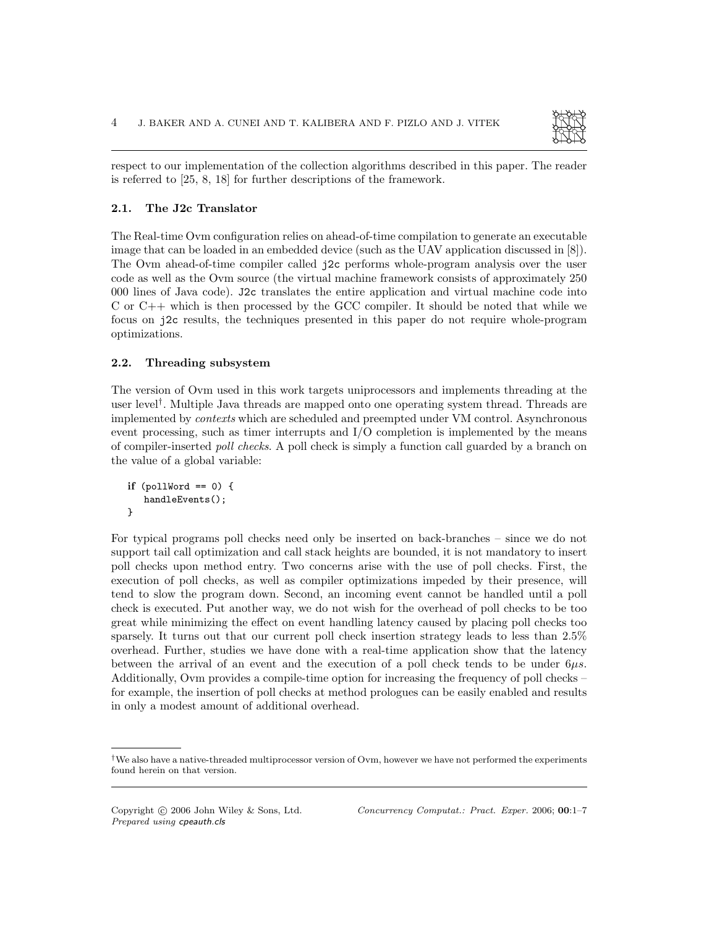

respect to our implementation of the collection algorithms described in this paper. The reader is referred to [25, 8, 18] for further descriptions of the framework.

# 2.1. The J2c Translator

The Real-time Ovm configuration relies on ahead-of-time compilation to generate an executable image that can be loaded in an embedded device (such as the UAV application discussed in [8]). The Ovm ahead-of-time compiler called j2c performs whole-program analysis over the user code as well as the Ovm source (the virtual machine framework consists of approximately 250 000 lines of Java code). J2c translates the entire application and virtual machine code into C or  $C_{++}$  which is then processed by the GCC compiler. It should be noted that while we focus on j2c results, the techniques presented in this paper do not require whole-program optimizations.

# 2.2. Threading subsystem

The version of Ovm used in this work targets uniprocessors and implements threading at the user level† . Multiple Java threads are mapped onto one operating system thread. Threads are implemented by contexts which are scheduled and preempted under VM control. Asynchronous event processing, such as timer interrupts and I/O completion is implemented by the means of compiler-inserted poll checks. A poll check is simply a function call guarded by a branch on the value of a global variable:

```
if (pollWord == 0) {
   handleEvents();
}
```
For typical programs poll checks need only be inserted on back-branches – since we do not support tail call optimization and call stack heights are bounded, it is not mandatory to insert poll checks upon method entry. Two concerns arise with the use of poll checks. First, the execution of poll checks, as well as compiler optimizations impeded by their presence, will tend to slow the program down. Second, an incoming event cannot be handled until a poll check is executed. Put another way, we do not wish for the overhead of poll checks to be too great while minimizing the effect on event handling latency caused by placing poll checks too sparsely. It turns out that our current poll check insertion strategy leads to less than 2.5% overhead. Further, studies we have done with a real-time application show that the latency between the arrival of an event and the execution of a poll check tends to be under  $6\mu s$ . Additionally, Ovm provides a compile-time option for increasing the frequency of poll checks – for example, the insertion of poll checks at method prologues can be easily enabled and results in only a modest amount of additional overhead.

<sup>†</sup>We also have a native-threaded multiprocessor version of Ovm, however we have not performed the experiments found herein on that version.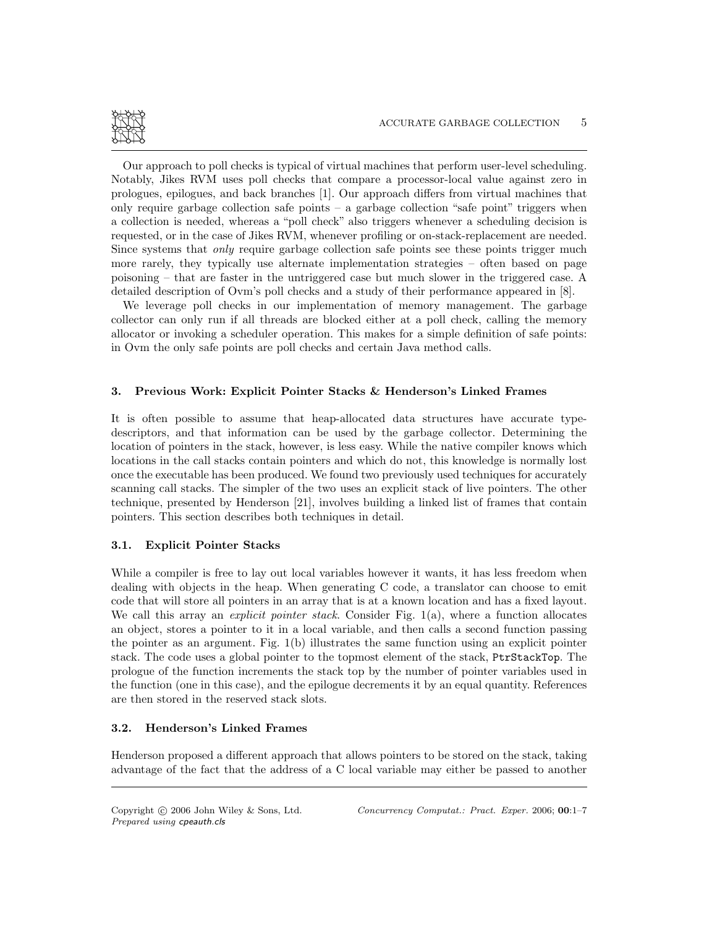

Our approach to poll checks is typical of virtual machines that perform user-level scheduling. Notably, Jikes RVM uses poll checks that compare a processor-local value against zero in prologues, epilogues, and back branches [1]. Our approach differs from virtual machines that only require garbage collection safe points  $-$  a garbage collection "safe point" triggers when a collection is needed, whereas a "poll check" also triggers whenever a scheduling decision is requested, or in the case of Jikes RVM, whenever profiling or on-stack-replacement are needed. Since systems that only require garbage collection safe points see these points trigger much more rarely, they typically use alternate implementation strategies – often based on page poisoning – that are faster in the untriggered case but much slower in the triggered case. A detailed description of Ovm's poll checks and a study of their performance appeared in [8].

We leverage poll checks in our implementation of memory management. The garbage collector can only run if all threads are blocked either at a poll check, calling the memory allocator or invoking a scheduler operation. This makes for a simple definition of safe points: in Ovm the only safe points are poll checks and certain Java method calls.

# 3. Previous Work: Explicit Pointer Stacks & Henderson's Linked Frames

It is often possible to assume that heap-allocated data structures have accurate typedescriptors, and that information can be used by the garbage collector. Determining the location of pointers in the stack, however, is less easy. While the native compiler knows which locations in the call stacks contain pointers and which do not, this knowledge is normally lost once the executable has been produced. We found two previously used techniques for accurately scanning call stacks. The simpler of the two uses an explicit stack of live pointers. The other technique, presented by Henderson [21], involves building a linked list of frames that contain pointers. This section describes both techniques in detail.

# 3.1. Explicit Pointer Stacks

While a compiler is free to lay out local variables however it wants, it has less freedom when dealing with objects in the heap. When generating C code, a translator can choose to emit code that will store all pointers in an array that is at a known location and has a fixed layout. We call this array an *explicit pointer stack*. Consider Fig.  $1(a)$ , where a function allocates an object, stores a pointer to it in a local variable, and then calls a second function passing the pointer as an argument. Fig. 1(b) illustrates the same function using an explicit pointer stack. The code uses a global pointer to the topmost element of the stack, PtrStackTop. The prologue of the function increments the stack top by the number of pointer variables used in the function (one in this case), and the epilogue decrements it by an equal quantity. References are then stored in the reserved stack slots.

# 3.2. Henderson's Linked Frames

Henderson proposed a different approach that allows pointers to be stored on the stack, taking advantage of the fact that the address of a C local variable may either be passed to another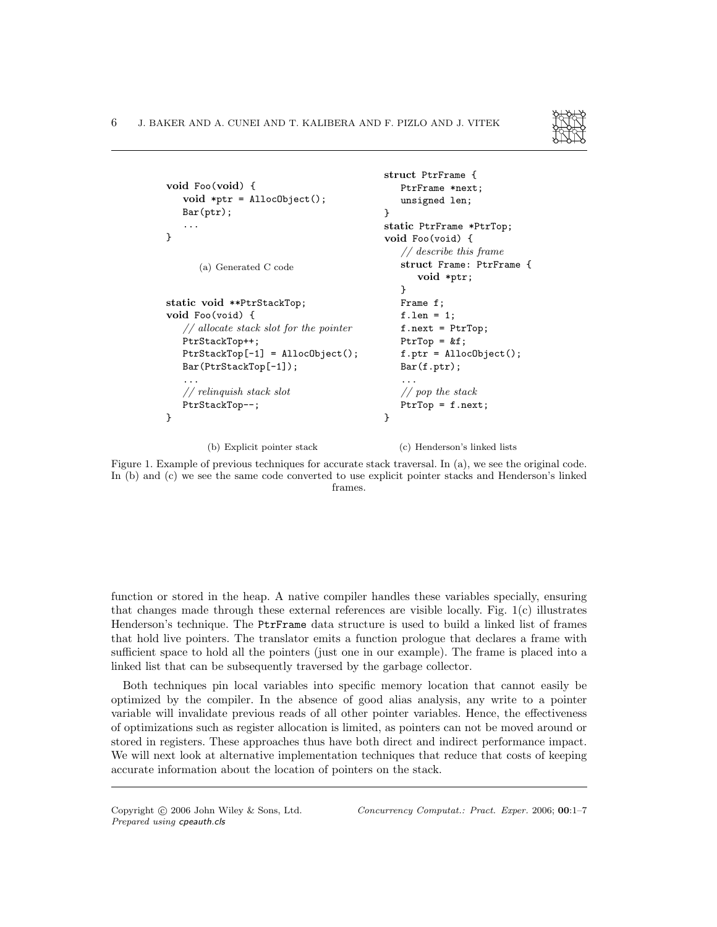

```
void Foo(void) {
   void *ptr = AllocObject();
   Bar(ptr);
   ...
}
      (a) Generated C code
static void **PtrStackTop;
void Foo(void) {
   // allocate stack slot for the pointer
   PtrStackTop++;
   PtrStackTop[-1] = AllocObject();
   Bar(PtrStackTop[-1]);
   ...
   // relinquish stack slot
   PtrStackTop--;
}
        (b) Explicit pointer stack
                                           struct PtrFrame {
                                               PtrFrame *next;
                                               unsigned len;
                                            }
                                           static PtrFrame *PtrTop;
                                            void Foo(void) {
                                               // describe this frame
                                               struct Frame: PtrFrame {
                                                  void *ptr;
                                               }
                                               Frame f;
                                               f.len = 1;
                                               f.next = PtrTop;
                                               PtrTop = &f;
                                               f.ptr = AllocObject();
                                               Bar(f.ptr);
                                               ...
                                               // pop the stack
                                               PtrTop = f.next;
                                           }
                                               (c) Henderson's linked lists
```
Figure 1. Example of previous techniques for accurate stack traversal. In (a), we see the original code. In (b) and (c) we see the same code converted to use explicit pointer stacks and Henderson's linked frames.

function or stored in the heap. A native compiler handles these variables specially, ensuring that changes made through these external references are visible locally. Fig.  $1(c)$  illustrates Henderson's technique. The PtrFrame data structure is used to build a linked list of frames that hold live pointers. The translator emits a function prologue that declares a frame with sufficient space to hold all the pointers (just one in our example). The frame is placed into a linked list that can be subsequently traversed by the garbage collector.

Both techniques pin local variables into specific memory location that cannot easily be optimized by the compiler. In the absence of good alias analysis, any write to a pointer variable will invalidate previous reads of all other pointer variables. Hence, the effectiveness of optimizations such as register allocation is limited, as pointers can not be moved around or stored in registers. These approaches thus have both direct and indirect performance impact. We will next look at alternative implementation techniques that reduce that costs of keeping accurate information about the location of pointers on the stack.

Prepared using cpeauth.cls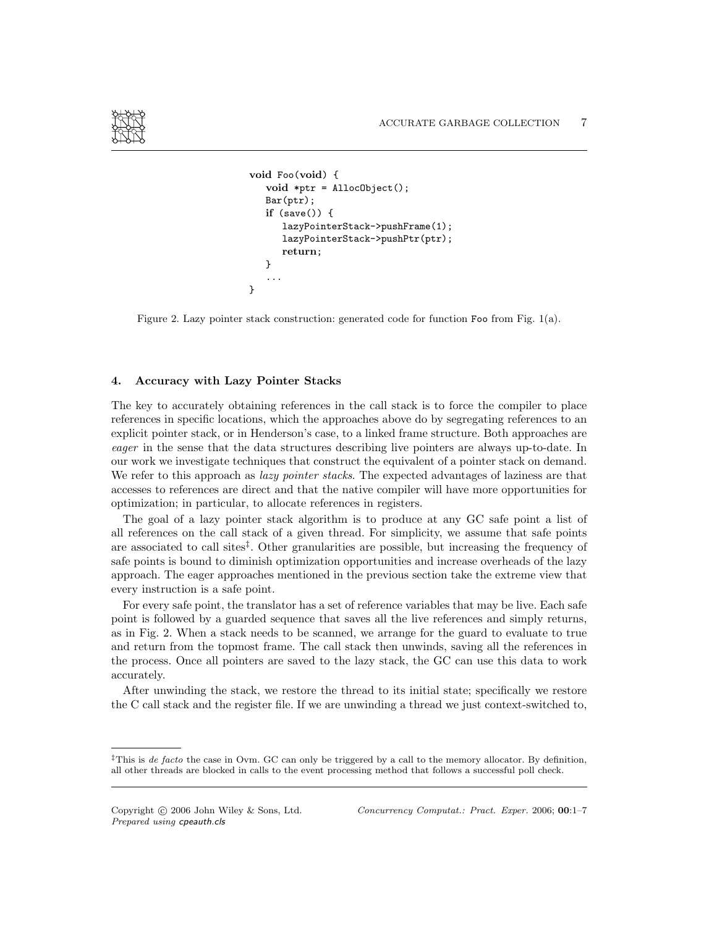

```
void Foo(void) {
   void *ptr = AllocObject();
   Bar(ptr);
   if (save()) {
      lazyPointerStack->pushFrame(1);
      lazyPointerStack->pushPtr(ptr);
      return;
   }
   ...
}
```
Figure 2. Lazy pointer stack construction: generated code for function Foo from Fig. 1(a).

#### 4. Accuracy with Lazy Pointer Stacks

The key to accurately obtaining references in the call stack is to force the compiler to place references in specific locations, which the approaches above do by segregating references to an explicit pointer stack, or in Henderson's case, to a linked frame structure. Both approaches are eager in the sense that the data structures describing live pointers are always up-to-date. In our work we investigate techniques that construct the equivalent of a pointer stack on demand. We refer to this approach as *lazy pointer stacks*. The expected advantages of laziness are that accesses to references are direct and that the native compiler will have more opportunities for optimization; in particular, to allocate references in registers.

The goal of a lazy pointer stack algorithm is to produce at any GC safe point a list of all references on the call stack of a given thread. For simplicity, we assume that safe points are associated to call sites‡ . Other granularities are possible, but increasing the frequency of safe points is bound to diminish optimization opportunities and increase overheads of the lazy approach. The eager approaches mentioned in the previous section take the extreme view that every instruction is a safe point.

For every safe point, the translator has a set of reference variables that may be live. Each safe point is followed by a guarded sequence that saves all the live references and simply returns, as in Fig. 2. When a stack needs to be scanned, we arrange for the guard to evaluate to true and return from the topmost frame. The call stack then unwinds, saving all the references in the process. Once all pointers are saved to the lazy stack, the GC can use this data to work accurately.

After unwinding the stack, we restore the thread to its initial state; specifically we restore the C call stack and the register file. If we are unwinding a thread we just context-switched to,

Prepared using cpeauth.cls

<sup>&</sup>lt;sup>‡</sup>This is de facto the case in Ovm. GC can only be triggered by a call to the memory allocator. By definition, all other threads are blocked in calls to the event processing method that follows a successful poll check.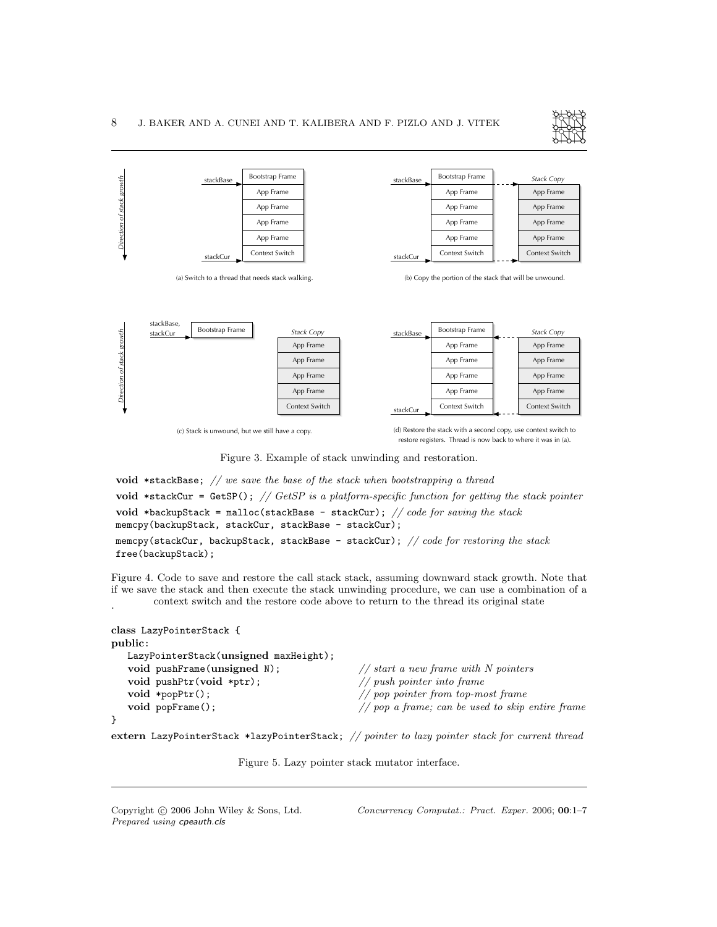



(c) Stack is unwound, but we still have a copy. (d) Restore the stack with a second copy, use context switch to restore registers. Thread is now back to where it was in (a).

Figure 3. Example of stack unwinding and restoration.

```
void *stackBase; // we save the base of the stack when bootstrapping a thread
void *stackCur = GetSP(); // GetSP is a platform-specific function for getting the stack pointer
void *backupStack = malloc(stackBase - stackCur); // code for saving the stack
memcpy(backupStack, stackCur, stackBase - stackCur);
memcpy(stackCur, backupStack, stackBase - stackCur); // code for restoring the stack
free(backupStack);
```
Figure 4. Code to save and restore the call stack stack, assuming downward stack growth. Note that if we save the stack and then execute the stack unwinding procedure, we can use a combination of a context switch and the restore code above to return to the thread its original state .

```
class LazyPointerStack {
public:
  LazyPointerStack(unsigned maxHeight);
  void pushFrame(unsigned N); // start a new frame with N pointersvoid pushPtr(void *ptr); // push pointer into framevoid *popPtr(); \frac{1}{2} / pop pointer from top-most frame
  void popFrame(); // pop a frame; can be used to skip entire frame}
```
extern LazyPointerStack \*lazyPointerStack; // pointer to lazy pointer stack for current thread



Prepared using cpeauth.cls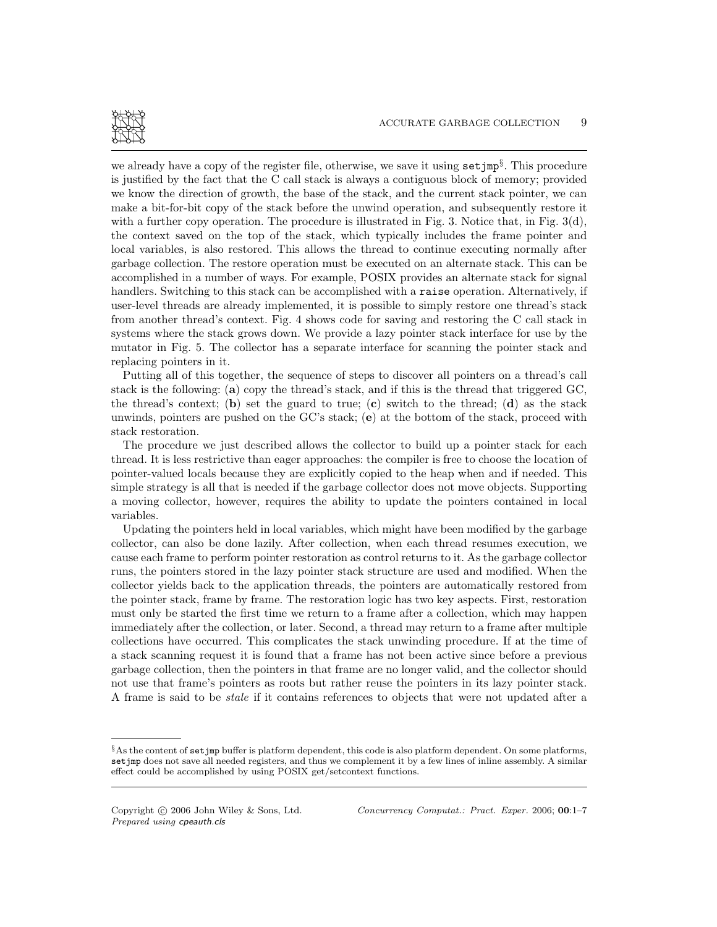

we already have a copy of the register file, otherwise, we save it using  $\texttt{setjmp}^\S.$  This procedure is justified by the fact that the C call stack is always a contiguous block of memory; provided we know the direction of growth, the base of the stack, and the current stack pointer, we can make a bit-for-bit copy of the stack before the unwind operation, and subsequently restore it with a further copy operation. The procedure is illustrated in Fig. 3. Notice that, in Fig.  $3(d)$ , the context saved on the top of the stack, which typically includes the frame pointer and local variables, is also restored. This allows the thread to continue executing normally after garbage collection. The restore operation must be executed on an alternate stack. This can be accomplished in a number of ways. For example, POSIX provides an alternate stack for signal handlers. Switching to this stack can be accomplished with a raise operation. Alternatively, if user-level threads are already implemented, it is possible to simply restore one thread's stack from another thread's context. Fig. 4 shows code for saving and restoring the C call stack in systems where the stack grows down. We provide a lazy pointer stack interface for use by the mutator in Fig. 5. The collector has a separate interface for scanning the pointer stack and replacing pointers in it.

Putting all of this together, the sequence of steps to discover all pointers on a thread's call stack is the following: (a) copy the thread's stack, and if this is the thread that triggered GC, the thread's context; (b) set the guard to true; (c) switch to the thread; (d) as the stack unwinds, pointers are pushed on the GC's stack; (e) at the bottom of the stack, proceed with stack restoration.

The procedure we just described allows the collector to build up a pointer stack for each thread. It is less restrictive than eager approaches: the compiler is free to choose the location of pointer-valued locals because they are explicitly copied to the heap when and if needed. This simple strategy is all that is needed if the garbage collector does not move objects. Supporting a moving collector, however, requires the ability to update the pointers contained in local variables.

Updating the pointers held in local variables, which might have been modified by the garbage collector, can also be done lazily. After collection, when each thread resumes execution, we cause each frame to perform pointer restoration as control returns to it. As the garbage collector runs, the pointers stored in the lazy pointer stack structure are used and modified. When the collector yields back to the application threads, the pointers are automatically restored from the pointer stack, frame by frame. The restoration logic has two key aspects. First, restoration must only be started the first time we return to a frame after a collection, which may happen immediately after the collection, or later. Second, a thread may return to a frame after multiple collections have occurred. This complicates the stack unwinding procedure. If at the time of a stack scanning request it is found that a frame has not been active since before a previous garbage collection, then the pointers in that frame are no longer valid, and the collector should not use that frame's pointers as roots but rather reuse the pointers in its lazy pointer stack. A frame is said to be stale if it contains references to objects that were not updated after a

<sup>§</sup>As the content of setjmp buffer is platform dependent, this code is also platform dependent. On some platforms, setjmp does not save all needed registers, and thus we complement it by a few lines of inline assembly. A similar effect could be accomplished by using POSIX get/setcontext functions.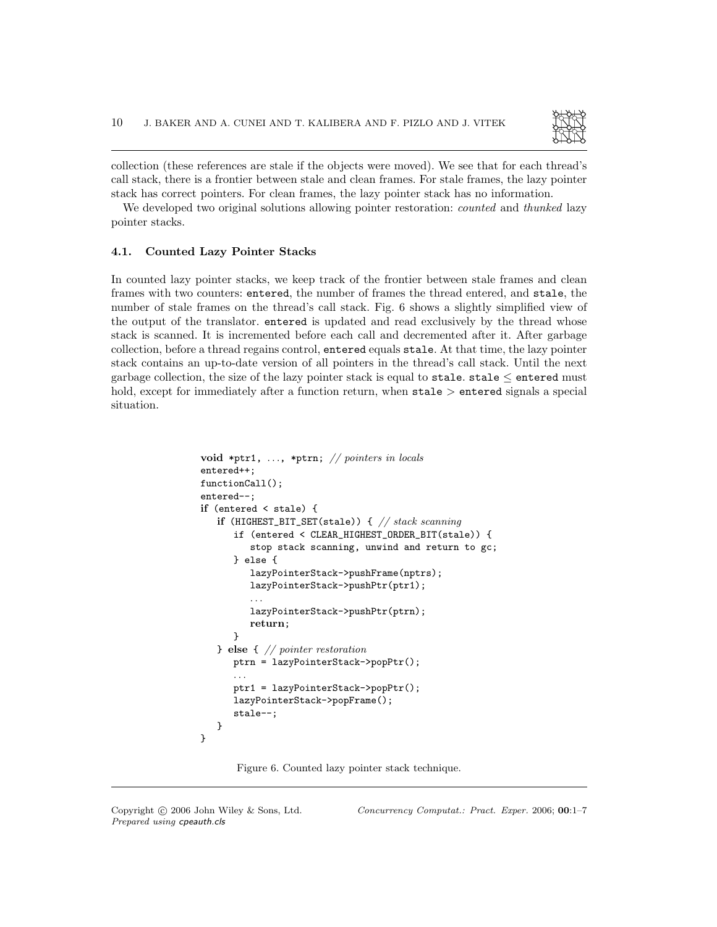

collection (these references are stale if the objects were moved). We see that for each thread's call stack, there is a frontier between stale and clean frames. For stale frames, the lazy pointer stack has correct pointers. For clean frames, the lazy pointer stack has no information.

We developed two original solutions allowing pointer restoration: *counted* and *thunked* lazy pointer stacks.

# 4.1. Counted Lazy Pointer Stacks

In counted lazy pointer stacks, we keep track of the frontier between stale frames and clean frames with two counters: entered, the number of frames the thread entered, and stale, the number of stale frames on the thread's call stack. Fig. 6 shows a slightly simplified view of the output of the translator. entered is updated and read exclusively by the thread whose stack is scanned. It is incremented before each call and decremented after it. After garbage collection, before a thread regains control, entered equals stale. At that time, the lazy pointer stack contains an up-to-date version of all pointers in the thread's call stack. Until the next garbage collection, the size of the lazy pointer stack is equal to stale. stale  $\leq$  entered must hold, except for immediately after a function return, when stale  $>$  entered signals a special situation.

```
void *ptr1, ..., *ptrn; // pointers in locals
entered++;
functionCall();
entered--;
if (entered < stale) {
   if (HIGHEST_BIT_SET(stale)) { // stack scanning
      if (entered < CLEAR_HIGHEST_ORDER_BIT(stale)) {
         stop stack scanning, unwind and return to gc;
      } else {
         lazyPointerStack->pushFrame(nptrs);
         lazyPointerStack->pushPtr(ptr1);
         . . .
         lazyPointerStack->pushPtr(ptrn);
         return;
      }
  } else { // pointer restoration
      ptrn = lazyPointerStack->popPtr();
      . . .
      ptr1 = lazyPointerStack->popPtr();
      lazyPointerStack->popFrame();
      stale--;
  }
}
```
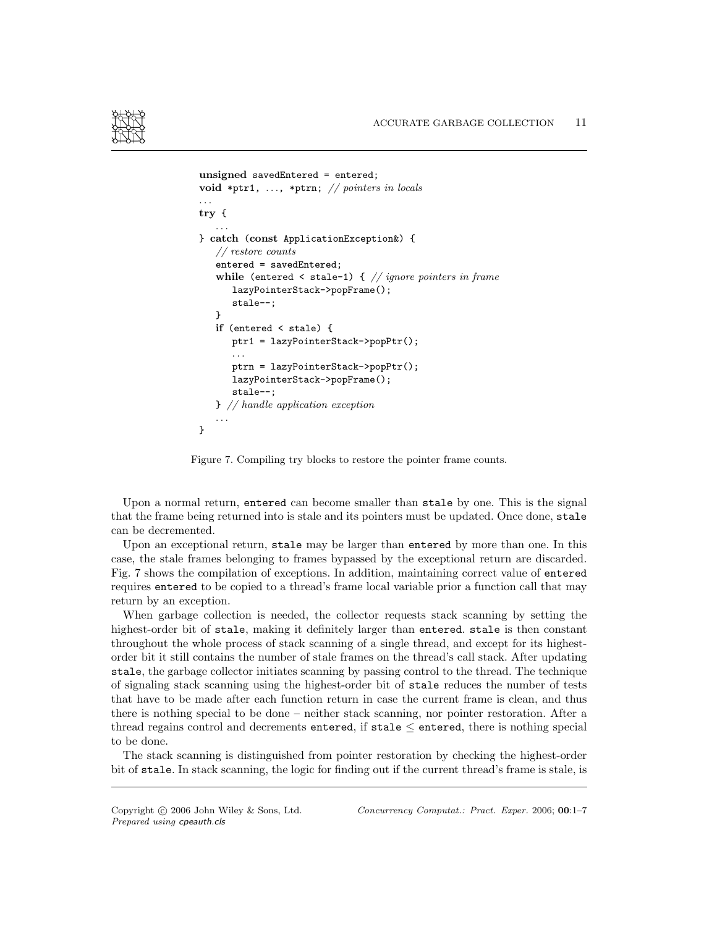

```
unsigned savedEntered = entered;
void *ptr1, ..., *ptrn; // pointers in locals
. . .
try {
   . . .
} catch (const ApplicationException&) {
   // restore counts
   entered = savedEntered;
   while (entered < stale-1) { // ignore pointers in frame
      lazyPointerStack->popFrame();
      stale--;
   }
   if (entered < stale) {
      ptr1 = lazyPointerStack->popPtr();
      . . .
      ptrn = lazyPointerStack->popPtr();
      lazyPointerStack->popFrame();
      stale--;
   } // handle application exception
   . . .
}
```
Figure 7. Compiling try blocks to restore the pointer frame counts.

Upon a normal return, entered can become smaller than stale by one. This is the signal that the frame being returned into is stale and its pointers must be updated. Once done, stale can be decremented.

Upon an exceptional return, stale may be larger than entered by more than one. In this case, the stale frames belonging to frames bypassed by the exceptional return are discarded. Fig. 7 shows the compilation of exceptions. In addition, maintaining correct value of entered requires entered to be copied to a thread's frame local variable prior a function call that may return by an exception.

When garbage collection is needed, the collector requests stack scanning by setting the highest-order bit of stale, making it definitely larger than entered. stale is then constant throughout the whole process of stack scanning of a single thread, and except for its highestorder bit it still contains the number of stale frames on the thread's call stack. After updating stale, the garbage collector initiates scanning by passing control to the thread. The technique of signaling stack scanning using the highest-order bit of stale reduces the number of tests that have to be made after each function return in case the current frame is clean, and thus there is nothing special to be done – neither stack scanning, nor pointer restoration. After a thread regains control and decrements entered, if stale  $\leq$  entered, there is nothing special to be done.

The stack scanning is distinguished from pointer restoration by checking the highest-order bit of stale. In stack scanning, the logic for finding out if the current thread's frame is stale, is

Prepared using cpeauth.cls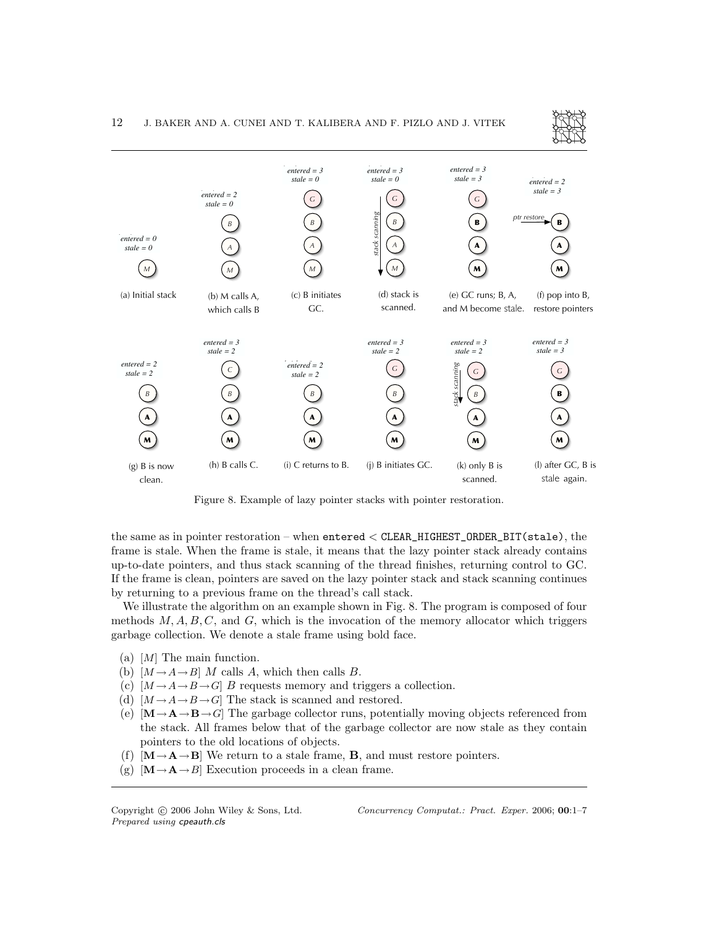



Figure 8. Example of lazy pointer stacks with pointer restoration.

the same as in pointer restoration – when entered < CLEAR\_HIGHEST\_ORDER\_BIT(stale), the frame is stale. When the frame is stale, it means that the lazy pointer stack already contains up-to-date pointers, and thus stack scanning of the thread finishes, returning control to GC. If the frame is clean, pointers are saved on the lazy pointer stack and stack scanning continues by returning to a previous frame on the thread's call stack.

We illustrate the algorithm on an example shown in Fig. 8. The program is composed of four methods  $M, A, B, C$ , and  $G$ , which is the invocation of the memory allocator which triggers garbage collection. We denote a stale frame using bold face.

- (a)  $[M]$  The main function.
- (b)  $[M \rightarrow A \rightarrow B]$  M calls A, which then calls B.
- (c)  $[M \rightarrow A \rightarrow B \rightarrow G]$  B requests memory and triggers a collection.
- (d)  $[M \rightarrow A \rightarrow B \rightarrow G]$  The stack is scanned and restored.
- (e)  $[M \rightarrow A \rightarrow B \rightarrow G]$  The garbage collector runs, potentially moving objects referenced from the stack. All frames below that of the garbage collector are now stale as they contain pointers to the old locations of objects.
- (f)  $[M \rightarrow A \rightarrow B]$  We return to a stale frame, B, and must restore pointers.
- (g)  $[M \rightarrow A \rightarrow B]$  Execution proceeds in a clean frame.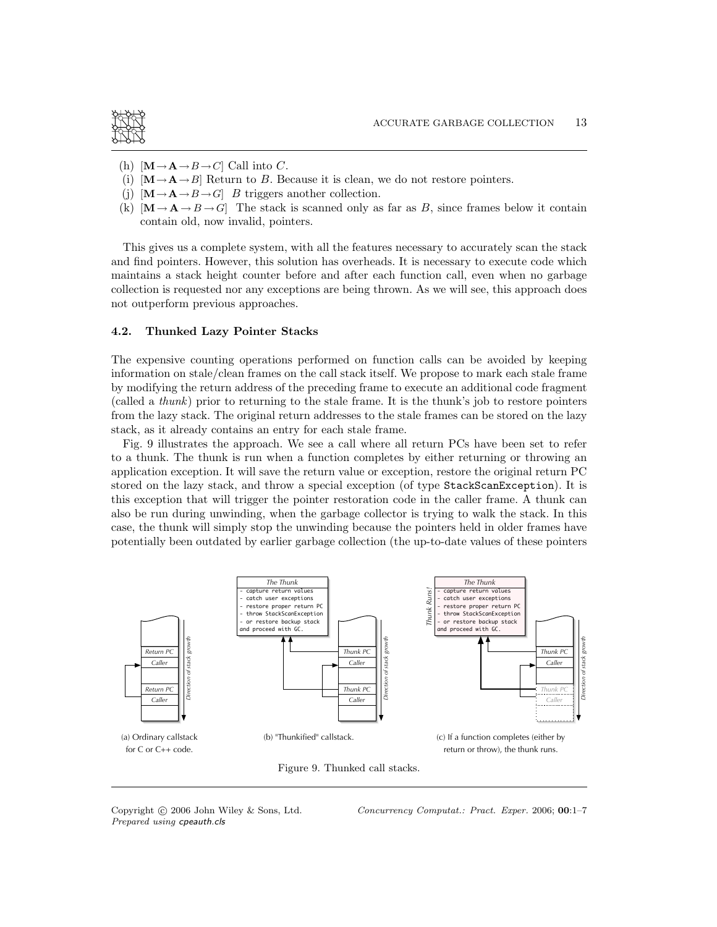- (h)  $[M \rightarrow A \rightarrow B \rightarrow C]$  Call into C.
- (i)  $[M \rightarrow A \rightarrow B]$  Return to B. Because it is clean, we do not restore pointers.
- (j)  $[M \rightarrow A \rightarrow B \rightarrow G]$  B triggers another collection.
- (k)  $[M \rightarrow A \rightarrow B \rightarrow G]$  The stack is scanned only as far as B, since frames below it contain contain old, now invalid, pointers.

This gives us a complete system, with all the features necessary to accurately scan the stack and find pointers. However, this solution has overheads. It is necessary to execute code which maintains a stack height counter before and after each function call, even when no garbage collection is requested nor any exceptions are being thrown. As we will see, this approach does not outperform previous approaches.

# 4.2. Thunked Lazy Pointer Stacks

The expensive counting operations performed on function calls can be avoided by keeping information on stale/clean frames on the call stack itself. We propose to mark each stale frame by modifying the return address of the preceding frame to execute an additional code fragment (called a thunk) prior to returning to the stale frame. It is the thunk's job to restore pointers from the lazy stack. The original return addresses to the stale frames can be stored on the lazy stack, as it already contains an entry for each stale frame.

Fig. 9 illustrates the approach. We see a call where all return PCs have been set to refer to a thunk. The thunk is run when a function completes by either returning or throwing an application exception. It will save the return value or exception, restore the original return PC stored on the lazy stack, and throw a special exception (of type StackScanException). It is this exception that will trigger the pointer restoration code in the caller frame. A thunk can also be run during unwinding, when the garbage collector is trying to walk the stack. In this case, the thunk will simply stop the unwinding because the pointers held in older frames have potentially been outdated by earlier garbage collection (the up-to-date values of these pointers



Figure 9. Thunked call stacks.

Prepared using cpeauth.cls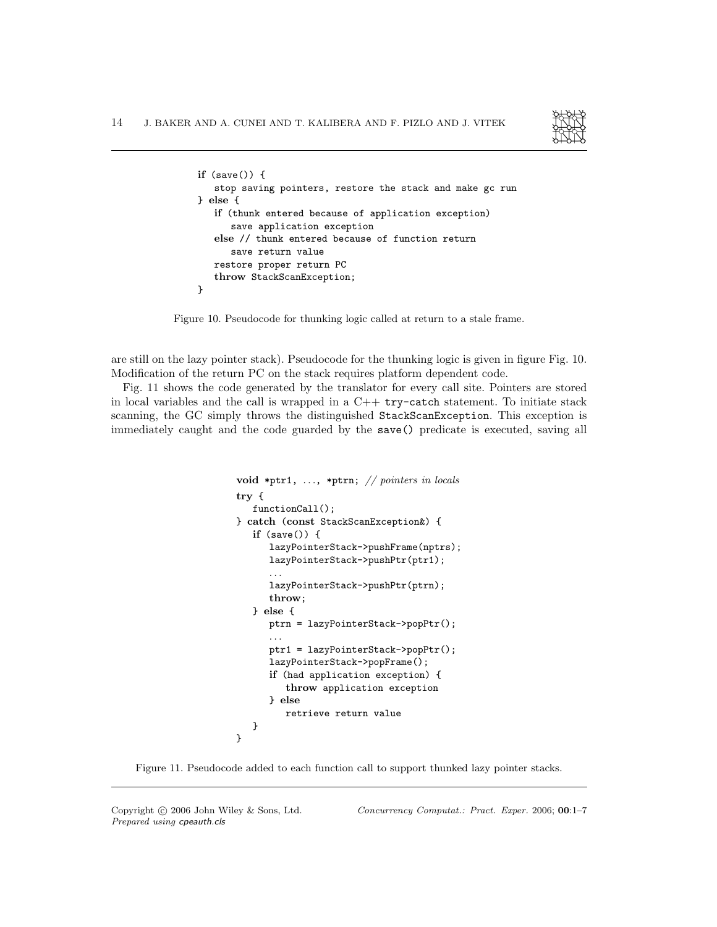

```
if (save()) {
   stop saving pointers, restore the stack and make gc run
} else {
   if (thunk entered because of application exception)
      save application exception
   else // thunk entered because of function return
      save return value
   restore proper return PC
   throw StackScanException;
}
```
Figure 10. Pseudocode for thunking logic called at return to a stale frame.

are still on the lazy pointer stack). Pseudocode for the thunking logic is given in figure Fig. 10. Modification of the return PC on the stack requires platform dependent code.

Fig. 11 shows the code generated by the translator for every call site. Pointers are stored in local variables and the call is wrapped in a  $C++$  try-catch statement. To initiate stack scanning, the GC simply throws the distinguished StackScanException. This exception is immediately caught and the code guarded by the save() predicate is executed, saving all

```
void *ptr1, ..., *ptrn; // pointers in locals
try {
   functionCall();
} catch (const StackScanException&) {
   if (save() ) {
      lazyPointerStack->pushFrame(nptrs);
      lazyPointerStack->pushPtr(ptr1);
      . . .
      lazyPointerStack->pushPtr(ptrn);
      throw;
   } else {
      ptrn = lazyPointerStack->popPtr();
      . . .
      ptr1 = lazyPointerStack->popPtr();
      lazyPointerStack->popFrame();
      if (had application exception) {
         throw application exception
      } else
         retrieve return value
   }
}
```
Figure 11. Pseudocode added to each function call to support thunked lazy pointer stacks.

Prepared using cpeauth.cls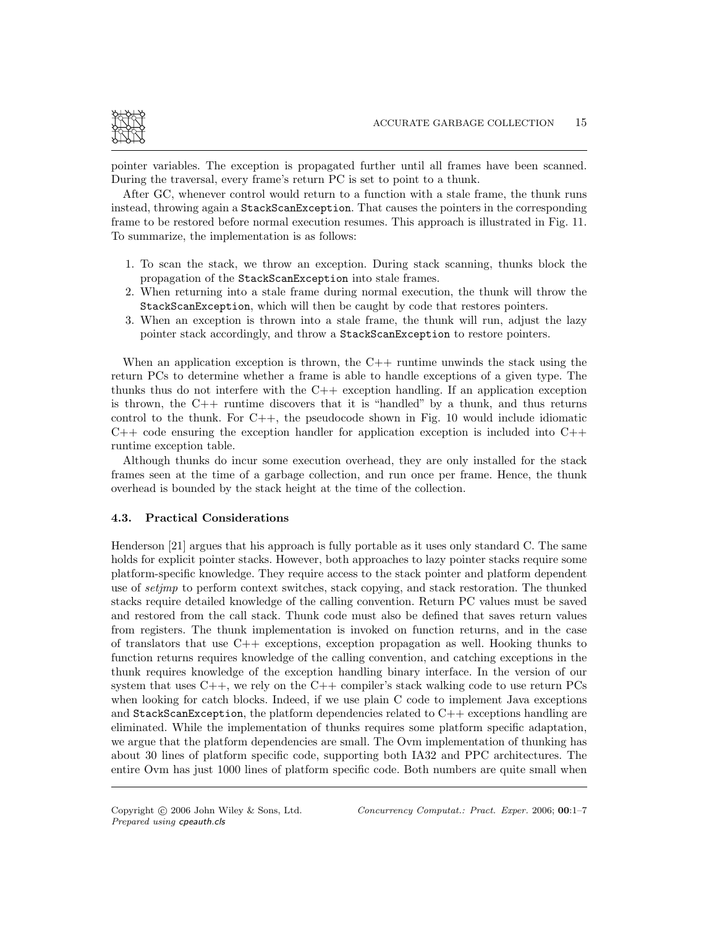

pointer variables. The exception is propagated further until all frames have been scanned. During the traversal, every frame's return PC is set to point to a thunk.

After GC, whenever control would return to a function with a stale frame, the thunk runs instead, throwing again a StackScanException. That causes the pointers in the corresponding frame to be restored before normal execution resumes. This approach is illustrated in Fig. 11. To summarize, the implementation is as follows:

- 1. To scan the stack, we throw an exception. During stack scanning, thunks block the propagation of the StackScanException into stale frames.
- 2. When returning into a stale frame during normal execution, the thunk will throw the StackScanException, which will then be caught by code that restores pointers.
- 3. When an exception is thrown into a stale frame, the thunk will run, adjust the lazy pointer stack accordingly, and throw a StackScanException to restore pointers.

When an application exception is thrown, the  $C++$  runtime unwinds the stack using the return PCs to determine whether a frame is able to handle exceptions of a given type. The thunks thus do not interfere with the C++ exception handling. If an application exception is thrown, the C++ runtime discovers that it is "handled" by a thunk, and thus returns control to the thunk. For C++, the pseudocode shown in Fig. 10 would include idiomatic  $C++$  code ensuring the exception handler for application exception is included into  $C++$ runtime exception table.

Although thunks do incur some execution overhead, they are only installed for the stack frames seen at the time of a garbage collection, and run once per frame. Hence, the thunk overhead is bounded by the stack height at the time of the collection.

#### 4.3. Practical Considerations

Henderson [21] argues that his approach is fully portable as it uses only standard C. The same holds for explicit pointer stacks. However, both approaches to lazy pointer stacks require some platform-specific knowledge. They require access to the stack pointer and platform dependent use of *setjmp* to perform context switches, stack copying, and stack restoration. The thunked stacks require detailed knowledge of the calling convention. Return PC values must be saved and restored from the call stack. Thunk code must also be defined that saves return values from registers. The thunk implementation is invoked on function returns, and in the case of translators that use C++ exceptions, exception propagation as well. Hooking thunks to function returns requires knowledge of the calling convention, and catching exceptions in the thunk requires knowledge of the exception handling binary interface. In the version of our system that uses  $C_{++}$ , we rely on the  $C_{++}$  compiler's stack walking code to use return PCs when looking for catch blocks. Indeed, if we use plain C code to implement Java exceptions and  $StackScanException$ , the platform dependencies related to  $C++$  exceptions handling are eliminated. While the implementation of thunks requires some platform specific adaptation, we argue that the platform dependencies are small. The Ovm implementation of thunking has about 30 lines of platform specific code, supporting both IA32 and PPC architectures. The entire Ovm has just 1000 lines of platform specific code. Both numbers are quite small when

Prepared using cpeauth.cls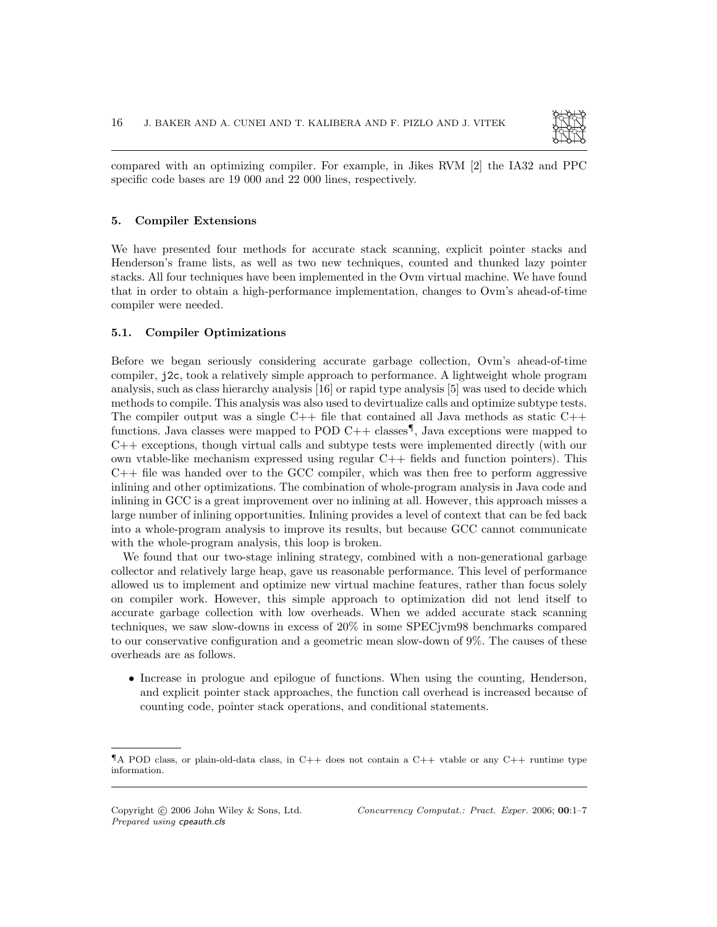

compared with an optimizing compiler. For example, in Jikes RVM [2] the IA32 and PPC specific code bases are 19 000 and 22 000 lines, respectively.

#### 5. Compiler Extensions

We have presented four methods for accurate stack scanning, explicit pointer stacks and Henderson's frame lists, as well as two new techniques, counted and thunked lazy pointer stacks. All four techniques have been implemented in the Ovm virtual machine. We have found that in order to obtain a high-performance implementation, changes to Ovm's ahead-of-time compiler were needed.

#### 5.1. Compiler Optimizations

Before we began seriously considering accurate garbage collection, Ovm's ahead-of-time compiler, j2c, took a relatively simple approach to performance. A lightweight whole program analysis, such as class hierarchy analysis [16] or rapid type analysis [5] was used to decide which methods to compile. This analysis was also used to devirtualize calls and optimize subtype tests. The compiler output was a single  $C++$  file that contained all Java methods as static  $C++$ functions. Java classes were mapped to POD  $C++$  classes , Java exceptions were mapped to C++ exceptions, though virtual calls and subtype tests were implemented directly (with our own vtable-like mechanism expressed using regular C++ fields and function pointers). This  $C++$  file was handed over to the GCC compiler, which was then free to perform aggressive inlining and other optimizations. The combination of whole-program analysis in Java code and inlining in GCC is a great improvement over no inlining at all. However, this approach misses a large number of inlining opportunities. Inlining provides a level of context that can be fed back into a whole-program analysis to improve its results, but because GCC cannot communicate with the whole-program analysis, this loop is broken.

We found that our two-stage inlining strategy, combined with a non-generational garbage collector and relatively large heap, gave us reasonable performance. This level of performance allowed us to implement and optimize new virtual machine features, rather than focus solely on compiler work. However, this simple approach to optimization did not lend itself to accurate garbage collection with low overheads. When we added accurate stack scanning techniques, we saw slow-downs in excess of 20% in some SPECjvm98 benchmarks compared to our conservative configuration and a geometric mean slow-down of 9%. The causes of these overheads are as follows.

• Increase in prologue and epilogue of functions. When using the counting, Henderson, and explicit pointer stack approaches, the function call overhead is increased because of counting code, pointer stack operations, and conditional statements.

<sup>¶</sup>A POD class, or plain-old-data class, in C++ does not contain a C++ vtable or any C++ runtime type information.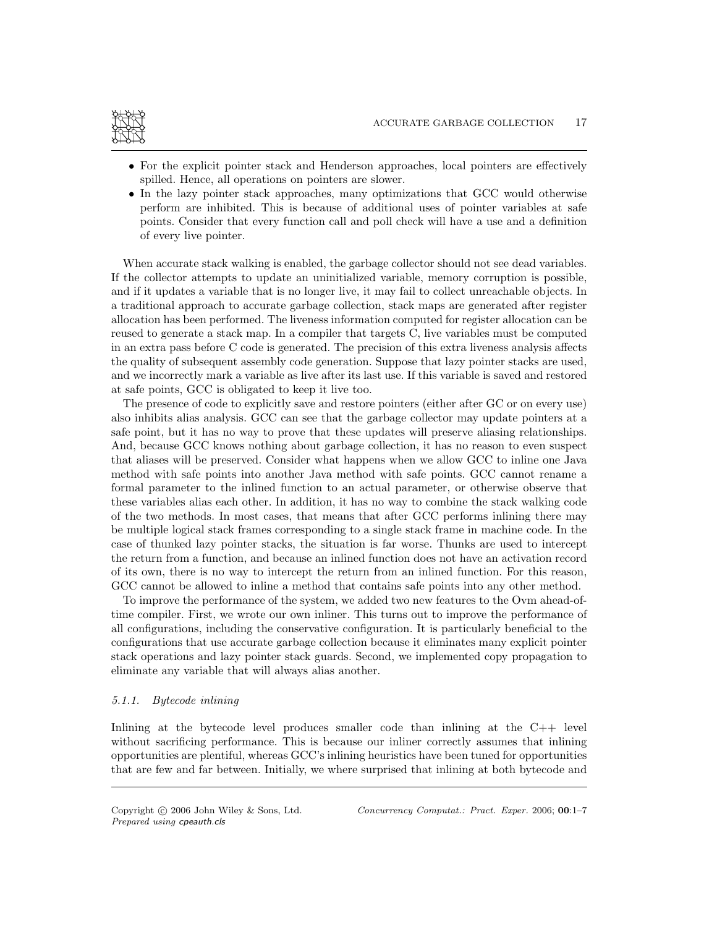

- For the explicit pointer stack and Henderson approaches, local pointers are effectively spilled. Hence, all operations on pointers are slower.
- In the lazy pointer stack approaches, many optimizations that GCC would otherwise perform are inhibited. This is because of additional uses of pointer variables at safe points. Consider that every function call and poll check will have a use and a definition of every live pointer.

When accurate stack walking is enabled, the garbage collector should not see dead variables. If the collector attempts to update an uninitialized variable, memory corruption is possible, and if it updates a variable that is no longer live, it may fail to collect unreachable objects. In a traditional approach to accurate garbage collection, stack maps are generated after register allocation has been performed. The liveness information computed for register allocation can be reused to generate a stack map. In a compiler that targets C, live variables must be computed in an extra pass before C code is generated. The precision of this extra liveness analysis affects the quality of subsequent assembly code generation. Suppose that lazy pointer stacks are used, and we incorrectly mark a variable as live after its last use. If this variable is saved and restored at safe points, GCC is obligated to keep it live too.

The presence of code to explicitly save and restore pointers (either after GC or on every use) also inhibits alias analysis. GCC can see that the garbage collector may update pointers at a safe point, but it has no way to prove that these updates will preserve aliasing relationships. And, because GCC knows nothing about garbage collection, it has no reason to even suspect that aliases will be preserved. Consider what happens when we allow GCC to inline one Java method with safe points into another Java method with safe points. GCC cannot rename a formal parameter to the inlined function to an actual parameter, or otherwise observe that these variables alias each other. In addition, it has no way to combine the stack walking code of the two methods. In most cases, that means that after GCC performs inlining there may be multiple logical stack frames corresponding to a single stack frame in machine code. In the case of thunked lazy pointer stacks, the situation is far worse. Thunks are used to intercept the return from a function, and because an inlined function does not have an activation record of its own, there is no way to intercept the return from an inlined function. For this reason, GCC cannot be allowed to inline a method that contains safe points into any other method.

To improve the performance of the system, we added two new features to the Ovm ahead-oftime compiler. First, we wrote our own inliner. This turns out to improve the performance of all configurations, including the conservative configuration. It is particularly beneficial to the configurations that use accurate garbage collection because it eliminates many explicit pointer stack operations and lazy pointer stack guards. Second, we implemented copy propagation to eliminate any variable that will always alias another.

# 5.1.1. Bytecode inlining

Inlining at the bytecode level produces smaller code than inlining at the C++ level without sacrificing performance. This is because our inliner correctly assumes that inlining opportunities are plentiful, whereas GCC's inlining heuristics have been tuned for opportunities that are few and far between. Initially, we where surprised that inlining at both bytecode and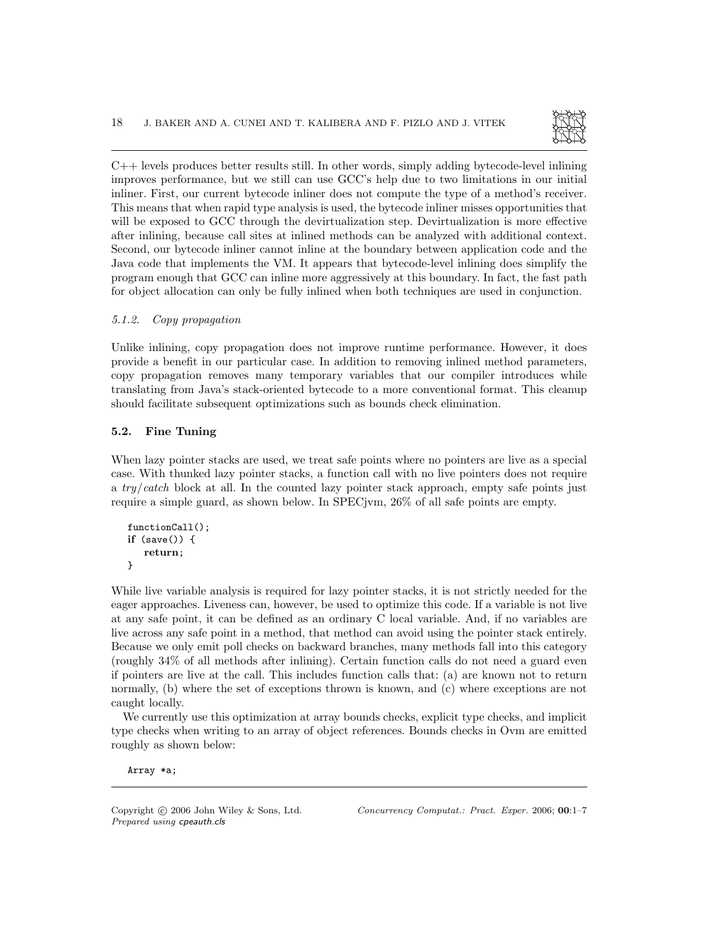

C++ levels produces better results still. In other words, simply adding bytecode-level inlining improves performance, but we still can use GCC's help due to two limitations in our initial inliner. First, our current bytecode inliner does not compute the type of a method's receiver. This means that when rapid type analysis is used, the bytecode inliner misses opportunities that will be exposed to GCC through the devirtualization step. Devirtualization is more effective after inlining, because call sites at inlined methods can be analyzed with additional context. Second, our bytecode inliner cannot inline at the boundary between application code and the Java code that implements the VM. It appears that bytecode-level inlining does simplify the program enough that GCC can inline more aggressively at this boundary. In fact, the fast path for object allocation can only be fully inlined when both techniques are used in conjunction.

# 5.1.2. Copy propagation

Unlike inlining, copy propagation does not improve runtime performance. However, it does provide a benefit in our particular case. In addition to removing inlined method parameters, copy propagation removes many temporary variables that our compiler introduces while translating from Java's stack-oriented bytecode to a more conventional format. This cleanup should facilitate subsequent optimizations such as bounds check elimination.

# 5.2. Fine Tuning

When lazy pointer stacks are used, we treat safe points where no pointers are live as a special case. With thunked lazy pointer stacks, a function call with no live pointers does not require a try/catch block at all. In the counted lazy pointer stack approach, empty safe points just require a simple guard, as shown below. In SPECjvm, 26% of all safe points are empty.

```
functionCall();
if (save()) {
   return;
}
```
While live variable analysis is required for lazy pointer stacks, it is not strictly needed for the eager approaches. Liveness can, however, be used to optimize this code. If a variable is not live at any safe point, it can be defined as an ordinary C local variable. And, if no variables are live across any safe point in a method, that method can avoid using the pointer stack entirely. Because we only emit poll checks on backward branches, many methods fall into this category (roughly 34% of all methods after inlining). Certain function calls do not need a guard even if pointers are live at the call. This includes function calls that: (a) are known not to return normally, (b) where the set of exceptions thrown is known, and (c) where exceptions are not caught locally.

We currently use this optimization at array bounds checks, explicit type checks, and implicit type checks when writing to an array of object references. Bounds checks in Ovm are emitted roughly as shown below:

Array \*a;

Prepared using cpeauth.cls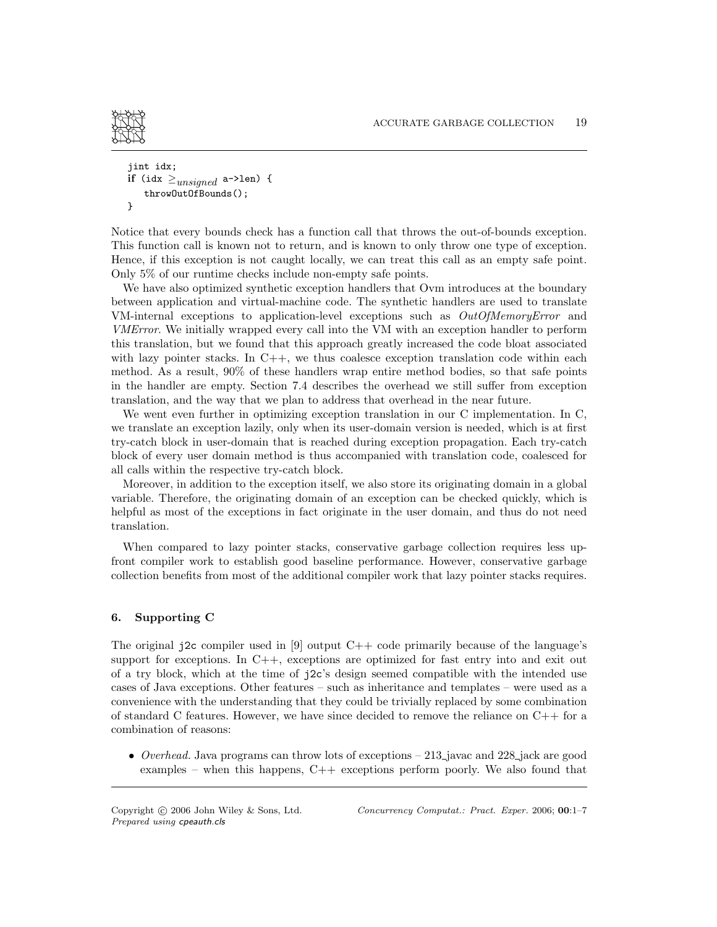

```
jint idx;
if (idx \geq_{unsigned} a->len) {
   throwOutOfBounds();
}
```
Notice that every bounds check has a function call that throws the out-of-bounds exception. This function call is known not to return, and is known to only throw one type of exception. Hence, if this exception is not caught locally, we can treat this call as an empty safe point. Only 5% of our runtime checks include non-empty safe points.

We have also optimized synthetic exception handlers that Ovm introduces at the boundary between application and virtual-machine code. The synthetic handlers are used to translate VM-internal exceptions to application-level exceptions such as OutOfMemoryError and VMError. We initially wrapped every call into the VM with an exception handler to perform this translation, but we found that this approach greatly increased the code bloat associated with lazy pointer stacks. In  $C_{++}$ , we thus coalesce exception translation code within each method. As a result, 90% of these handlers wrap entire method bodies, so that safe points in the handler are empty. Section 7.4 describes the overhead we still suffer from exception translation, and the way that we plan to address that overhead in the near future.

We went even further in optimizing exception translation in our C implementation. In C, we translate an exception lazily, only when its user-domain version is needed, which is at first try-catch block in user-domain that is reached during exception propagation. Each try-catch block of every user domain method is thus accompanied with translation code, coalesced for all calls within the respective try-catch block.

Moreover, in addition to the exception itself, we also store its originating domain in a global variable. Therefore, the originating domain of an exception can be checked quickly, which is helpful as most of the exceptions in fact originate in the user domain, and thus do not need translation.

When compared to lazy pointer stacks, conservative garbage collection requires less upfront compiler work to establish good baseline performance. However, conservative garbage collection benefits from most of the additional compiler work that lazy pointer stacks requires.

# 6. Supporting C

The original j2c compiler used in [9] output  $C++$  code primarily because of the language's support for exceptions. In C++, exceptions are optimized for fast entry into and exit out of a try block, which at the time of j2c's design seemed compatible with the intended use cases of Java exceptions. Other features – such as inheritance and templates – were used as a convenience with the understanding that they could be trivially replaced by some combination of standard C features. However, we have since decided to remove the reliance on C++ for a combination of reasons:

• Overhead. Java programs can throw lots of exceptions  $-213$ -javac and  $228$ -jack are good examples – when this happens, C++ exceptions perform poorly. We also found that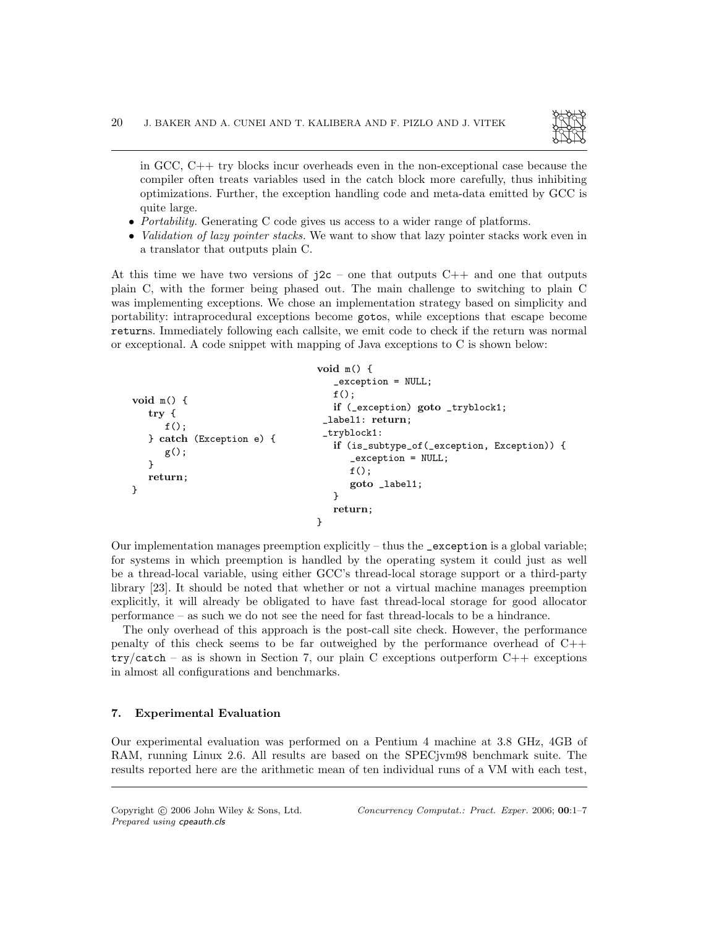

in GCC, C++ try blocks incur overheads even in the non-exceptional case because the compiler often treats variables used in the catch block more carefully, thus inhibiting optimizations. Further, the exception handling code and meta-data emitted by GCC is quite large.

- *Portability.* Generating C code gives us access to a wider range of platforms.
- *Validation of lazy pointer stacks*. We want to show that lazy pointer stacks work even in a translator that outputs plain C.

At this time we have two versions of  $i2c$  – one that outputs  $C++$  and one that outputs plain C, with the former being phased out. The main challenge to switching to plain C was implementing exceptions. We chose an implementation strategy based on simplicity and portability: intraprocedural exceptions become gotos, while exceptions that escape become returns. Immediately following each callsite, we emit code to check if the return was normal or exceptional. A code snippet with mapping of Java exceptions to C is shown below:

```
void m() {
   try {
      f();
   } catch (Exception e) {
      g();
   }
   return;
}
                                   void m() {
                                       _exception = NULL;
                                      f();
                                      if (_exception) goto _tryblock1;
                                    _label1: return;
                                    _tryblock1:
                                      if (is_subtype_of(_exception, Exception)) {
                                          _exception = NULL;
                                         f();
                                          goto _label1;
                                      }
                                      return;
                                   }
```
Our implementation manages preemption explicitly – thus the \_exception is a global variable; for systems in which preemption is handled by the operating system it could just as well be a thread-local variable, using either GCC's thread-local storage support or a third-party library [23]. It should be noted that whether or not a virtual machine manages preemption explicitly, it will already be obligated to have fast thread-local storage for good allocator performance – as such we do not see the need for fast thread-locals to be a hindrance.

The only overhead of this approach is the post-call site check. However, the performance penalty of this check seems to be far outweighed by the performance overhead of C++  $try/catch - as$  is shown in Section 7, our plain C exceptions outperform  $C++$  exceptions in almost all configurations and benchmarks.

# 7. Experimental Evaluation

Our experimental evaluation was performed on a Pentium 4 machine at 3.8 GHz, 4GB of RAM, running Linux 2.6. All results are based on the SPECjvm98 benchmark suite. The results reported here are the arithmetic mean of ten individual runs of a VM with each test,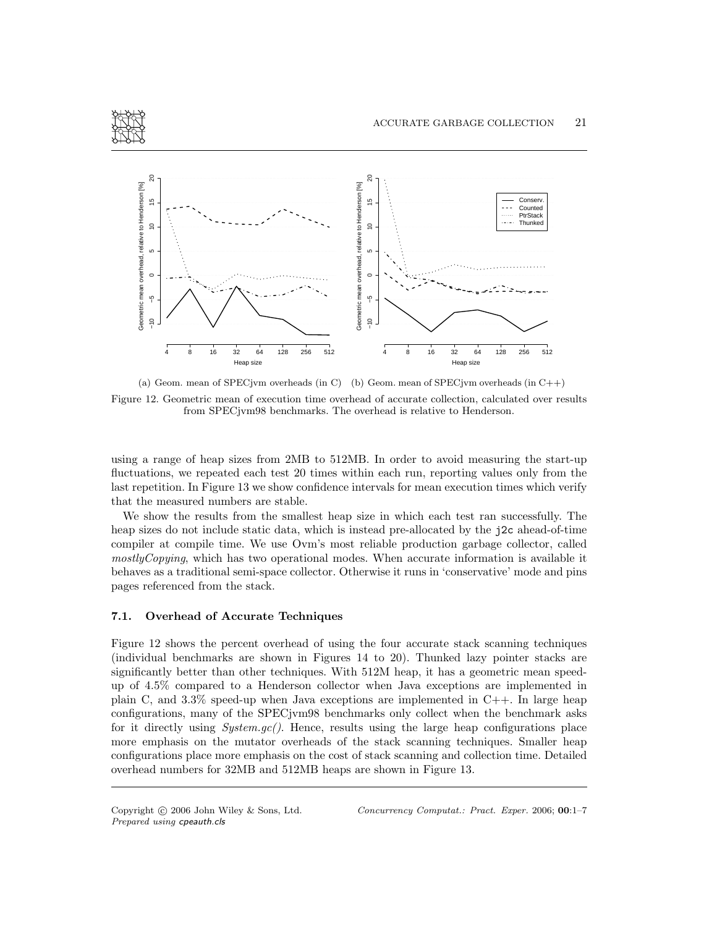

(a) Geom. mean of SPECjvm overheads (in C) (b) Geom. mean of SPECjvm overheads (in C++)

Figure 12. Geometric mean of execution time overhead of accurate collection, calculated over results from SPECjvm98 benchmarks. The overhead is relative to Henderson.

using a range of heap sizes from 2MB to 512MB. In order to avoid measuring the start-up fluctuations, we repeated each test 20 times within each run, reporting values only from the last repetition. In Figure 13 we show confidence intervals for mean execution times which verify that the measured numbers are stable.

We show the results from the smallest heap size in which each test ran successfully. The heap sizes do not include static data, which is instead pre-allocated by the j2c ahead-of-time compiler at compile time. We use Ovm's most reliable production garbage collector, called mostlyCopying, which has two operational modes. When accurate information is available it behaves as a traditional semi-space collector. Otherwise it runs in 'conservative' mode and pins pages referenced from the stack.

#### 7.1. Overhead of Accurate Techniques

Figure 12 shows the percent overhead of using the four accurate stack scanning techniques (individual benchmarks are shown in Figures 14 to 20). Thunked lazy pointer stacks are significantly better than other techniques. With 512M heap, it has a geometric mean speedup of 4.5% compared to a Henderson collector when Java exceptions are implemented in plain C, and  $3.3\%$  speed-up when Java exceptions are implemented in C++. In large heap configurations, many of the SPECjvm98 benchmarks only collect when the benchmark asks for it directly using  $System.gc$ . Hence, results using the large heap configurations place more emphasis on the mutator overheads of the stack scanning techniques. Smaller heap configurations place more emphasis on the cost of stack scanning and collection time. Detailed overhead numbers for 32MB and 512MB heaps are shown in Figure 13.

Prepared using cpeauth.cls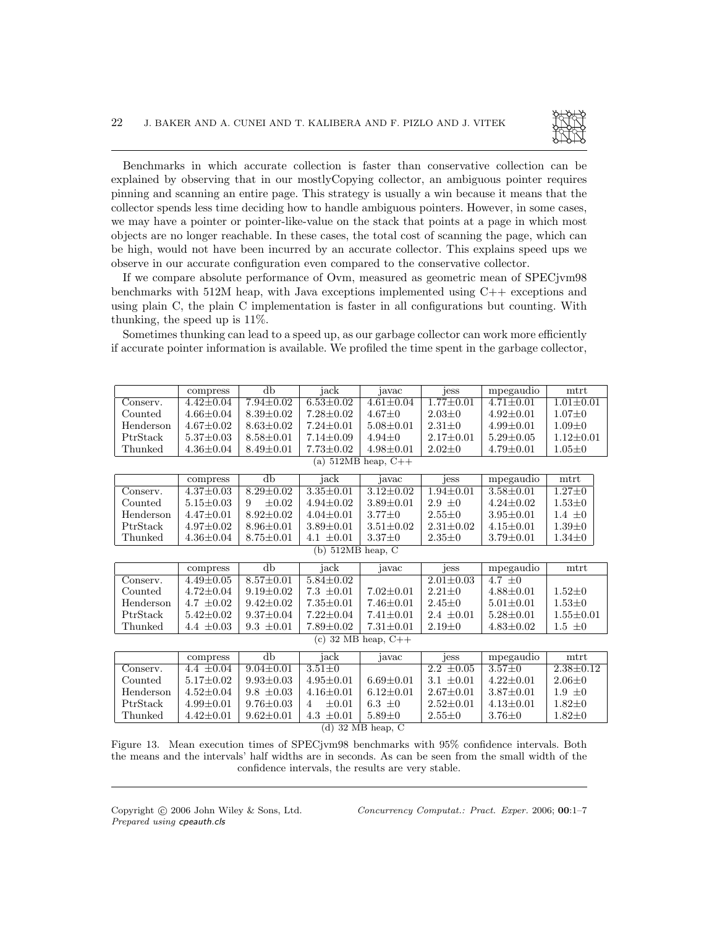

Benchmarks in which accurate collection is faster than conservative collection can be explained by observing that in our mostlyCopying collector, an ambiguous pointer requires pinning and scanning an entire page. This strategy is usually a win because it means that the collector spends less time deciding how to handle ambiguous pointers. However, in some cases, we may have a pointer or pointer-like-value on the stack that points at a page in which most objects are no longer reachable. In these cases, the total cost of scanning the page, which can be high, would not have been incurred by an accurate collector. This explains speed ups we observe in our accurate configuration even compared to the conservative collector.

If we compare absolute performance of Ovm, measured as geometric mean of SPECjvm98 benchmarks with 512M heap, with Java exceptions implemented using C++ exceptions and using plain C, the plain C implementation is faster in all configurations but counting. With thunking, the speed up is 11%.

Sometimes thunking can lead to a speed up, as our garbage collector can work more efficiently if accurate pointer information is available. We profiled the time spent in the garbage collector,

|                         | compress        | db              | jack                         | javac           | jess            | mpegaudio       | mtrt            |  |
|-------------------------|-----------------|-----------------|------------------------------|-----------------|-----------------|-----------------|-----------------|--|
| Conserv.                | $4.42 \pm 0.04$ | $7.94 \pm 0.02$ | $6.53 \pm 0.02$              | $4.61 \pm 0.04$ | $1.77 \pm 0.01$ | $4.71 + 0.01$   | $1.01 \pm 0.01$ |  |
| Counted                 | $4.66 \pm 0.04$ | $8.39 \pm 0.02$ | $7.28 \pm 0.02$              | $4.67 \pm 0$    | $2.03 \pm 0$    | $4.92 \pm 0.01$ | $1.07 \pm 0$    |  |
| Henderson               | $4.67 \pm 0.02$ | $8.63 \pm 0.02$ | $7.24 \pm 0.01$              | $5.08 \pm 0.01$ | $2.31 \pm 0$    | $4.99 \pm 0.01$ | $1.09 \pm 0$    |  |
| PtrStack                | $5.37 \pm 0.03$ | $8.58 \pm 0.01$ | $7.14 \pm 0.09$              | $4.94 \pm 0$    | $2.17 \pm 0.01$ | $5.29 \pm 0.05$ | $1.12 \pm 0.01$ |  |
| Thunked                 | $4.36 \pm 0.04$ | $8.49 \pm 0.01$ | $7.73 \pm 0.02$              | $4.98 \pm 0.01$ | $2.02 \pm 0$    | $4.79 \pm 0.01$ | $1.05 \pm 0$    |  |
| (a) $512MB$ heap, $C++$ |                 |                 |                              |                 |                 |                 |                 |  |
|                         | compress        | db              | jack                         | javac           | jess            | mpegaudio       | mtrt            |  |
| Conserv.                | $4.37 \pm 0.03$ | $8.29 \pm 0.02$ | $3.35 \pm 0.01$              | $3.12 \pm 0.02$ | $1.94 \pm 0.01$ | $3.58 \pm 0.01$ | $1.27 \pm 0$    |  |
| Counted                 | $5.15 \pm 0.03$ | $\pm 0.02$<br>9 | $4.94 \pm 0.02$              | $3.89 \pm 0.01$ | $2.9 \pm 0$     | $4.24 \pm 0.02$ | $1.53 \pm 0$    |  |
| Henderson               | $4.47 \pm 0.01$ | $8.92 \pm 0.02$ | $4.04 \pm 0.01$              | $3.77 \pm 0$    | $2.55 \pm 0$    | $3.95 \pm 0.01$ | 1.4 $\pm 0$     |  |
| PtrStack                | $4.97 \pm 0.02$ | $8.96 \pm 0.01$ | $3.89 \pm 0.01$              | $3.51 \pm 0.02$ | $2.31 \pm 0.02$ | $4.15 \pm 0.01$ | $1.39 + 0$      |  |
| Thunked                 | $4.36 \pm 0.04$ | $8.75 \pm 0.01$ | 4.1 $\pm 0.01$               | $3.37 + 0$      | $2.35 \pm 0$    | $3.79 \pm 0.01$ | $1.34 \pm 0$    |  |
| $(b)$ 512MB heap, C     |                 |                 |                              |                 |                 |                 |                 |  |
|                         | compress        | db              | jack                         | javac           | jess            | mpegaudio       | mtrt            |  |
| Conserv.                | $4.49 \pm 0.05$ | $8.57 \pm 0.01$ | $5.84 \pm 0.02$              |                 | $2.01 \pm 0.03$ | 4.7 $\pm 0$     |                 |  |
| Counted                 | $4.72 \pm 0.04$ | $9.19 \pm 0.02$ | $7.3 \pm 0.01$               | $7.02 \pm 0.01$ | $2.21 \pm 0$    | $4.88 \pm 0.01$ | $1.52 \pm 0$    |  |
| Henderson               | 4.7 $\pm 0.02$  | $9.42 \pm 0.02$ | $7.35 \pm 0.01$              | $7.46 \pm 0.01$ | $2.45 \pm 0$    | $5.01 \pm 0.01$ | $1.53 \pm 0$    |  |
| PtrStack                | $5.42 \pm 0.02$ | $9.37 \pm 0.04$ | $7.22 \pm 0.04$              | $7.41 \pm 0.01$ | $2.4 \pm 0.01$  | $5.28 \pm 0.01$ | $1.55 \pm 0.01$ |  |
| Thunked                 | 4.4 $\pm 0.03$  | $9.3 \pm 0.01$  | $7.89 \pm 0.02$              | $7.31 \pm 0.01$ | $2.19 \pm 0$    | $4.83 \pm 0.02$ | 1.5 $\pm$ 0     |  |
| (c) 32 MB heap, $C++$   |                 |                 |                              |                 |                 |                 |                 |  |
|                         | compress        | db              | jack                         | javac           | jess            | mpegaudio       | mtrt            |  |
| Conserv.                | 4.4 $\pm 0.04$  | $9.04 \pm 0.01$ | $3.51 \pm 0$                 |                 | $2.2 \pm 0.05$  | $3.57 \pm 0$    | $2.38 \pm 0.12$ |  |
| Counted                 | $5.17 \pm 0.02$ | $9.93 \pm 0.03$ | $4.95 \pm 0.01$              | $6.69 \pm 0.01$ | 3.1 $\pm 0.01$  | $4.22 \pm 0.01$ | $2.06 \pm 0$    |  |
| Henderson               | $4.52 \pm 0.04$ | $9.8 \pm 0.03$  | $4.16 \pm 0.01$              | $6.12 \pm 0.01$ | $2.67 \pm 0.01$ | $3.87 \pm 0.01$ | $1.9 \pm 0$     |  |
| PtrStack                | $4.99 \pm 0.01$ | $9.76 \pm 0.03$ | $\pm 0.01$<br>$\overline{4}$ | $6.3 \pm 0$     | $2.52 \pm 0.01$ | $4.13 \pm 0.01$ | $1.82 \pm 0$    |  |
| Thunked                 | $4.42 \pm 0.01$ | $9.62 \pm 0.01$ | 4.3<br>$\pm 0.01$            | $5.89 + 0$      | $2.55 \pm 0$    | $3.76 \pm 0$    | $1.82 \pm 0$    |  |
| $(d)$ 32 MB heap, C     |                 |                 |                              |                 |                 |                 |                 |  |

Figure 13. Mean execution times of SPECjvm98 benchmarks with 95% confidence intervals. Both the means and the intervals' half widths are in seconds. As can be seen from the small width of the confidence intervals, the results are very stable.

Prepared using cpeauth.cls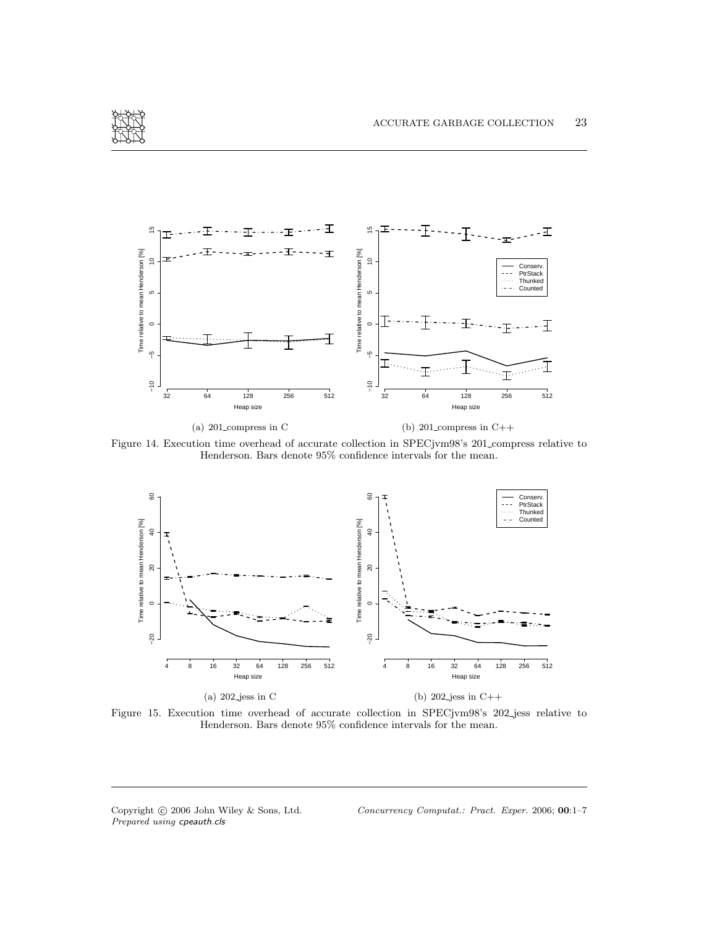



Figure 14. Execution time overhead of accurate collection in SPECjvm98's 201 compress relative to Henderson. Bars denote 95% confidence intervals for the mean.



Figure 15. Execution time overhead of accurate collection in SPECjvm98's 202 jess relative to Henderson. Bars denote 95% confidence intervals for the mean.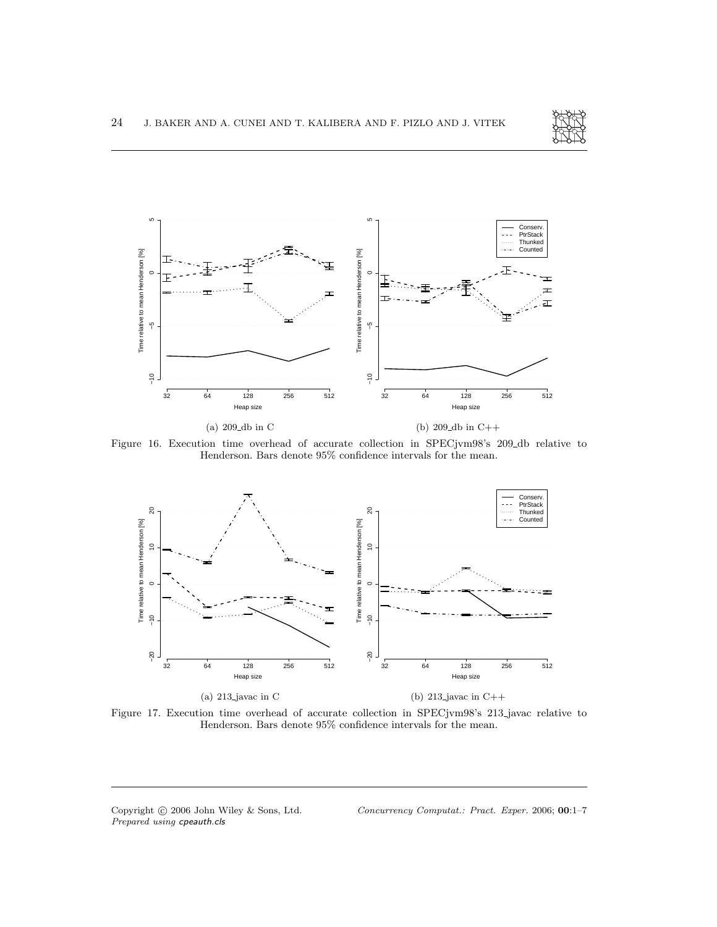



Figure 16. Execution time overhead of accurate collection in SPECjvm98's 209 db relative to Henderson. Bars denote 95% confidence intervals for the mean.



Figure 17. Execution time overhead of accurate collection in SPECjvm98's 213 javac relative to Henderson. Bars denote 95% confidence intervals for the mean.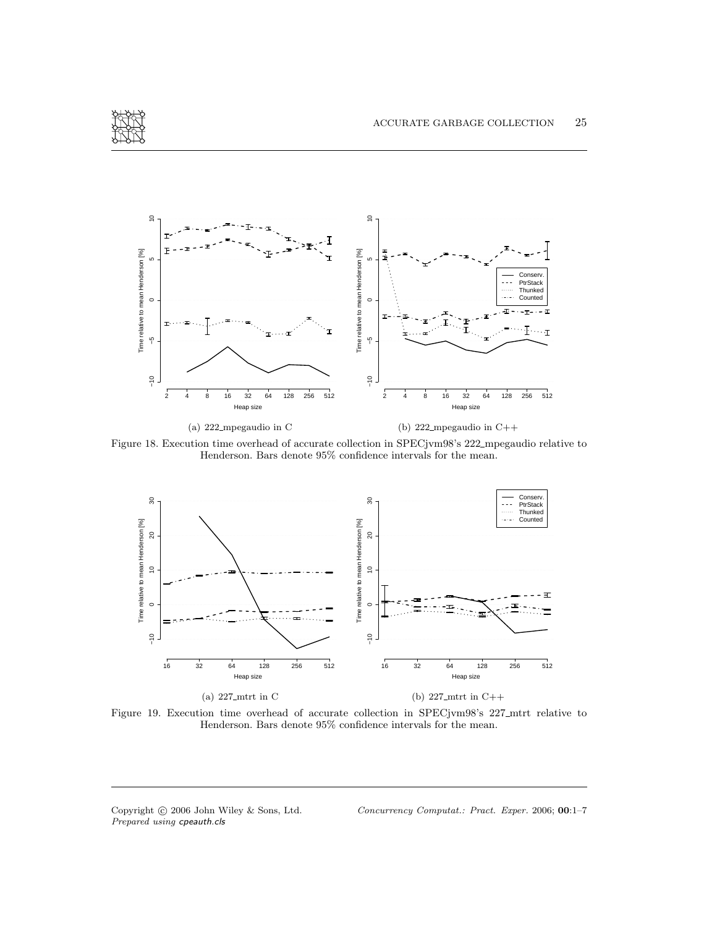

Figure 18. Execution time overhead of accurate collection in SPECjvm98's 222 mpegaudio relative to Henderson. Bars denote 95% confidence intervals for the mean.



Figure 19. Execution time overhead of accurate collection in SPECjvm98's 227 mtrt relative to Henderson. Bars denote 95% confidence intervals for the mean.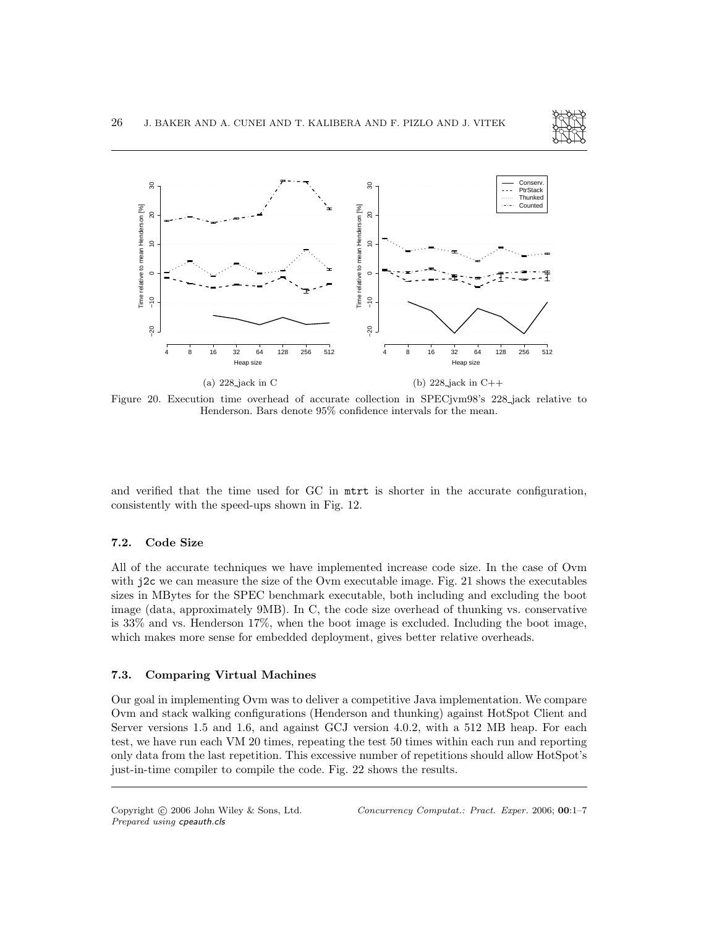



Figure 20. Execution time overhead of accurate collection in SPECjvm98's 228 jack relative to Henderson. Bars denote 95% confidence intervals for the mean.

and verified that the time used for GC in mtrt is shorter in the accurate configuration, consistently with the speed-ups shown in Fig. 12.

# 7.2. Code Size

All of the accurate techniques we have implemented increase code size. In the case of Ovm with  $j2c$  we can measure the size of the Ovm executable image. Fig. 21 shows the executables sizes in MBytes for the SPEC benchmark executable, both including and excluding the boot image (data, approximately 9MB). In C, the code size overhead of thunking vs. conservative is 33% and vs. Henderson 17%, when the boot image is excluded. Including the boot image, which makes more sense for embedded deployment, gives better relative overheads.

# 7.3. Comparing Virtual Machines

Our goal in implementing Ovm was to deliver a competitive Java implementation. We compare Ovm and stack walking configurations (Henderson and thunking) against HotSpot Client and Server versions 1.5 and 1.6, and against GCJ version 4.0.2, with a 512 MB heap. For each test, we have run each VM 20 times, repeating the test 50 times within each run and reporting only data from the last repetition. This excessive number of repetitions should allow HotSpot's just-in-time compiler to compile the code. Fig. 22 shows the results.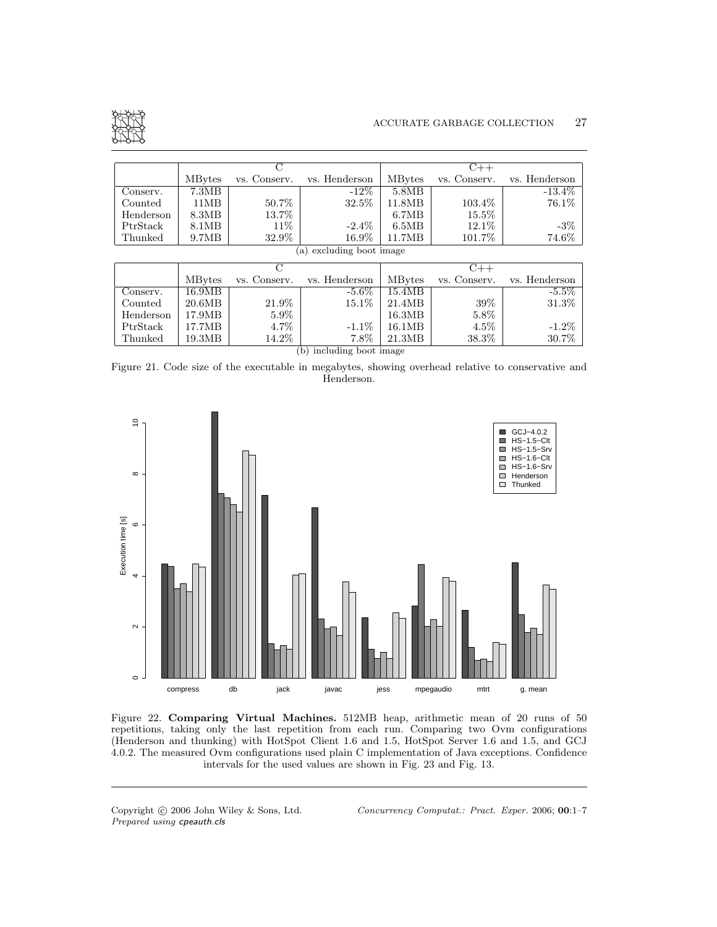

#### ACCURATE GARBAGE COLLECTION 27

|                             |                |              |               | C'++          |              |               |  |
|-----------------------------|----------------|--------------|---------------|---------------|--------------|---------------|--|
|                             | <b>MB</b> ytes | vs. Conserv. | vs. Henderson | <b>MBytes</b> | vs. Conserv. | vs. Henderson |  |
| Conserv.                    | 7.3MB          |              | $-12\%$       | 5.8MB         |              | $-13.4\%$     |  |
| Counted                     | 11MB           | 50.7%        | 32.5%         | 11.8MB        | 103.4%       | 76.1%         |  |
| Henderson                   | 8.3MB          | 13.7%        |               | 6.7MB         | 15.5%        |               |  |
| PtrStack                    | 8.1MB          | 11\%         | $-2.4\%$      | 6.5MB         | 12.1\%       | $-3\%$        |  |
| Thunked                     | 9.7MB          | 32.9%        | $16.9\%$      | 11.7MB        | 101.7%       | 74.6%         |  |
| excluding boot image<br>(a) |                |              |               |               |              |               |  |

 $C \qquad \qquad \qquad \qquad \qquad C_{++}$ MBytes vs. Conserv. vs. Henderson | MBytes vs. Conserv. vs. Henderson 16.9MB |  $-5.6\%$  | 15.4MB |  $-5.5\%$  $\text{Conserv.} \quad | \quad 16.9\text{MB} \quad | \quad 15.6\% \quad | \quad 15.4\text{MB} \quad | \quad 15.5\%$ Counted 20.6MB 21.9% 15.1% 21.4MB 39% 31.3% Henderson 17.9MB 5.9% 16.3MB 5.8%<br>PtrStack 17.7MB 4.7% -1.1% 16.1MB 4.5%  $\text{Prstack} \quad | \quad 4.7\% \mid \quad -1.1\% \mid 16.1 \text{MB} \mid \quad 4.5\% \mid \quad -1.2\%$ Thunked | 19.3MB | 14.2% | 7.8% | 21.3MB | 38.3% | 30.7%

(b) including boot image

Figure 21. Code size of the executable in megabytes, showing overhead relative to conservative and Henderson.





Prepared using cpeauth.cls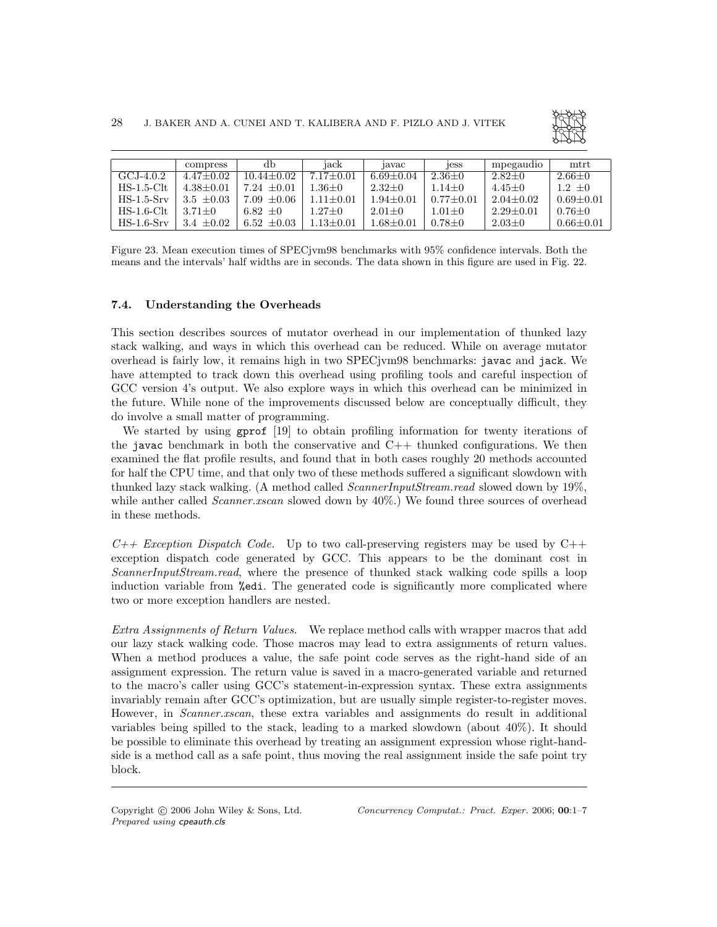

|               | compress      | db              | iack          | 1avac           | <sub>1</sub> ess | mpegaudio     | mtrt            |
|---------------|---------------|-----------------|---------------|-----------------|------------------|---------------|-----------------|
| $GCI-4.0.2$   | $4.47 + 0.02$ | $10.44 + 0.02$  | $7.17 + 0.01$ | $6.69 + 0.04$   | $2.36 \pm 0$     | $2.82+0$      | $2.66 + 0$      |
| $HS-1.5-Clt$  | $4.38 + 0.01$ | $7.24 + 0.01$   | $1.36 + 0$    | $2.32+0$        | $1.14 + 0$       | $4.45 + 0$    | $1.2 + 0$       |
| $HS-1.5-Srv$  | $3.5 + 0.03$  | $7.09 + 0.06$   | $1.11 + 0.01$ | $1.94 + 0.01$   | $0.77 + 0.01$    | $2.04 + 0.02$ | $0.69 + 0.01$   |
| $HS-1.6$ -Clt | $3.71 + 0$    | 6.82 $\pm 0$    | $1.27 + 0$    | $2.01+0$        | $1.01 + 0$       | $2.29 + 0.01$ | $0.76 + 0$      |
| $HS-1.6-Srv$  | $3.4 + 0.02$  | 6.52 $\pm 0.03$ | $1.13 + 0.01$ | $1.68 \pm 0.01$ | $0.78 + 0$       | $2.03 \pm 0$  | $0.66 \pm 0.01$ |

Figure 23. Mean execution times of SPECjvm98 benchmarks with 95% confidence intervals. Both the means and the intervals' half widths are in seconds. The data shown in this figure are used in Fig. 22.

# 7.4. Understanding the Overheads

This section describes sources of mutator overhead in our implementation of thunked lazy stack walking, and ways in which this overhead can be reduced. While on average mutator overhead is fairly low, it remains high in two SPECjvm98 benchmarks: javac and jack. We have attempted to track down this overhead using profiling tools and careful inspection of GCC version 4's output. We also explore ways in which this overhead can be minimized in the future. While none of the improvements discussed below are conceptually difficult, they do involve a small matter of programming.

We started by using gprof [19] to obtain profiling information for twenty iterations of the javac benchmark in both the conservative and  $C++$  thunked configurations. We then examined the flat profile results, and found that in both cases roughly 20 methods accounted for half the CPU time, and that only two of these methods suffered a significant slowdown with thunked lazy stack walking. (A method called ScannerInputStream.read slowed down by 19%, while anther called *Scanner.xscan* slowed down by 40%.) We found three sources of overhead in these methods.

 $C++$  Exception Dispatch Code. Up to two call-preserving registers may be used by  $C++$ exception dispatch code generated by GCC. This appears to be the dominant cost in ScannerInputStream.read, where the presence of thunked stack walking code spills a loop induction variable from %edi. The generated code is significantly more complicated where two or more exception handlers are nested.

Extra Assignments of Return Values. We replace method calls with wrapper macros that add our lazy stack walking code. Those macros may lead to extra assignments of return values. When a method produces a value, the safe point code serves as the right-hand side of an assignment expression. The return value is saved in a macro-generated variable and returned to the macro's caller using GCC's statement-in-expression syntax. These extra assignments invariably remain after GCC's optimization, but are usually simple register-to-register moves. However, in Scanner.xscan, these extra variables and assignments do result in additional variables being spilled to the stack, leading to a marked slowdown (about 40%). It should be possible to eliminate this overhead by treating an assignment expression whose right-handside is a method call as a safe point, thus moving the real assignment inside the safe point try block.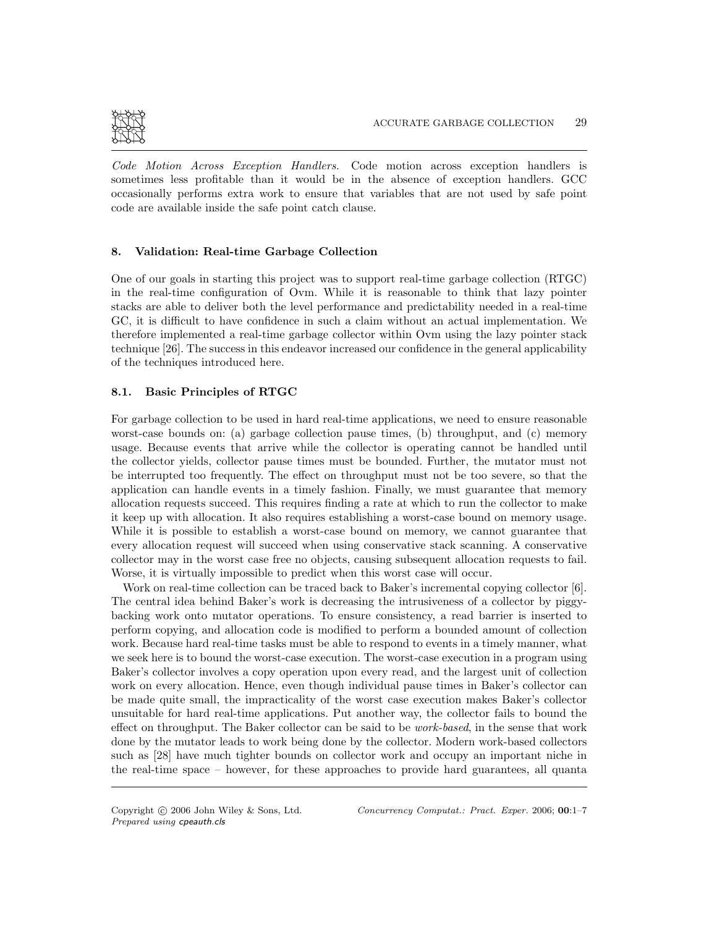

Code Motion Across Exception Handlers. Code motion across exception handlers is sometimes less profitable than it would be in the absence of exception handlers. GCC occasionally performs extra work to ensure that variables that are not used by safe point code are available inside the safe point catch clause.

# 8. Validation: Real-time Garbage Collection

One of our goals in starting this project was to support real-time garbage collection (RTGC) in the real-time configuration of Ovm. While it is reasonable to think that lazy pointer stacks are able to deliver both the level performance and predictability needed in a real-time GC, it is difficult to have confidence in such a claim without an actual implementation. We therefore implemented a real-time garbage collector within Ovm using the lazy pointer stack technique [26]. The success in this endeavor increased our confidence in the general applicability of the techniques introduced here.

# 8.1. Basic Principles of RTGC

For garbage collection to be used in hard real-time applications, we need to ensure reasonable worst-case bounds on: (a) garbage collection pause times, (b) throughput, and (c) memory usage. Because events that arrive while the collector is operating cannot be handled until the collector yields, collector pause times must be bounded. Further, the mutator must not be interrupted too frequently. The effect on throughput must not be too severe, so that the application can handle events in a timely fashion. Finally, we must guarantee that memory allocation requests succeed. This requires finding a rate at which to run the collector to make it keep up with allocation. It also requires establishing a worst-case bound on memory usage. While it is possible to establish a worst-case bound on memory, we cannot guarantee that every allocation request will succeed when using conservative stack scanning. A conservative collector may in the worst case free no objects, causing subsequent allocation requests to fail. Worse, it is virtually impossible to predict when this worst case will occur.

Work on real-time collection can be traced back to Baker's incremental copying collector [6]. The central idea behind Baker's work is decreasing the intrusiveness of a collector by piggybacking work onto mutator operations. To ensure consistency, a read barrier is inserted to perform copying, and allocation code is modified to perform a bounded amount of collection work. Because hard real-time tasks must be able to respond to events in a timely manner, what we seek here is to bound the worst-case execution. The worst-case execution in a program using Baker's collector involves a copy operation upon every read, and the largest unit of collection work on every allocation. Hence, even though individual pause times in Baker's collector can be made quite small, the impracticality of the worst case execution makes Baker's collector unsuitable for hard real-time applications. Put another way, the collector fails to bound the effect on throughput. The Baker collector can be said to be work-based, in the sense that work done by the mutator leads to work being done by the collector. Modern work-based collectors such as [28] have much tighter bounds on collector work and occupy an important niche in the real-time space – however, for these approaches to provide hard guarantees, all quanta

Prepared using cpeauth.cls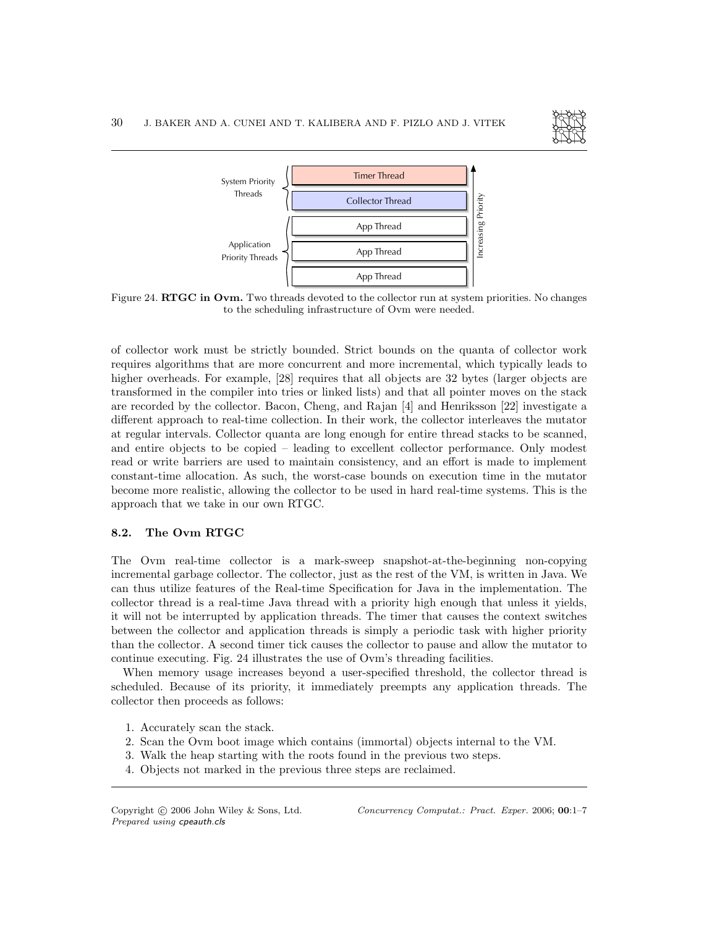



Figure 24. RTGC in Ovm. Two threads devoted to the collector run at system priorities. No changes to the scheduling infrastructure of Ovm were needed.

of collector work must be strictly bounded. Strict bounds on the quanta of collector work requires algorithms that are more concurrent and more incremental, which typically leads to higher overheads. For example, [28] requires that all objects are 32 bytes (larger objects are transformed in the compiler into tries or linked lists) and that all pointer moves on the stack are recorded by the collector. Bacon, Cheng, and Rajan [4] and Henriksson [22] investigate a different approach to real-time collection. In their work, the collector interleaves the mutator at regular intervals. Collector quanta are long enough for entire thread stacks to be scanned, and entire objects to be copied – leading to excellent collector performance. Only modest read or write barriers are used to maintain consistency, and an effort is made to implement constant-time allocation. As such, the worst-case bounds on execution time in the mutator become more realistic, allowing the collector to be used in hard real-time systems. This is the approach that we take in our own RTGC.

# 8.2. The Ovm RTGC

The Ovm real-time collector is a mark-sweep snapshot-at-the-beginning non-copying incremental garbage collector. The collector, just as the rest of the VM, is written in Java. We can thus utilize features of the Real-time Specification for Java in the implementation. The collector thread is a real-time Java thread with a priority high enough that unless it yields, it will not be interrupted by application threads. The timer that causes the context switches between the collector and application threads is simply a periodic task with higher priority than the collector. A second timer tick causes the collector to pause and allow the mutator to continue executing. Fig. 24 illustrates the use of Ovm's threading facilities.

When memory usage increases beyond a user-specified threshold, the collector thread is scheduled. Because of its priority, it immediately preempts any application threads. The collector then proceeds as follows:

- 1. Accurately scan the stack.
- 2. Scan the Ovm boot image which contains (immortal) objects internal to the VM.
- 3. Walk the heap starting with the roots found in the previous two steps.
- 4. Objects not marked in the previous three steps are reclaimed.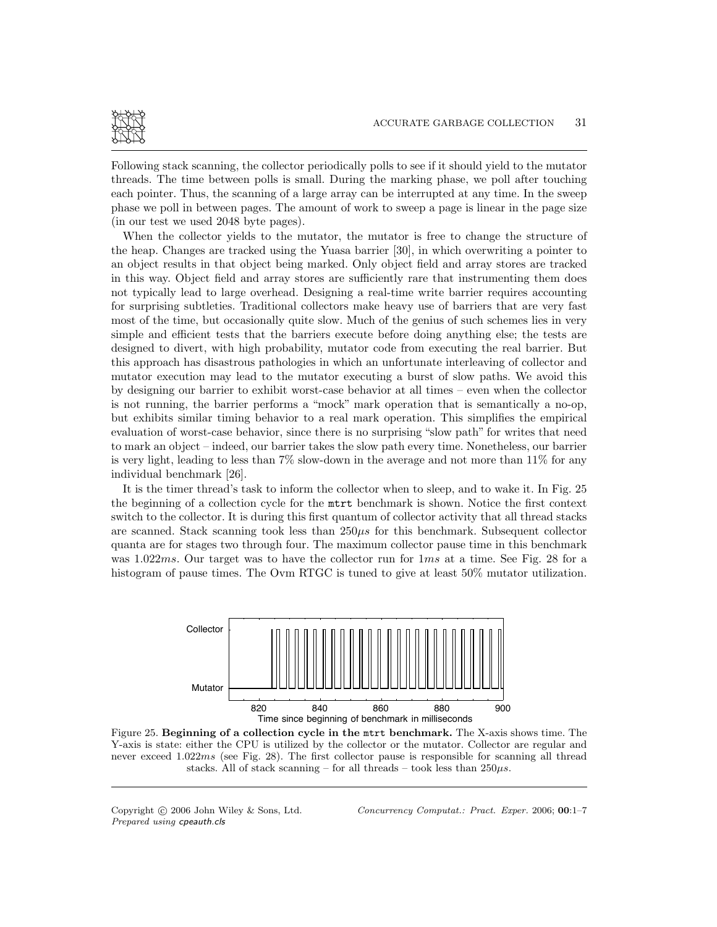Following stack scanning, the collector periodically polls to see if it should yield to the mutator threads. The time between polls is small. During the marking phase, we poll after touching each pointer. Thus, the scanning of a large array can be interrupted at any time. In the sweep phase we poll in between pages. The amount of work to sweep a page is linear in the page size (in our test we used 2048 byte pages).

When the collector yields to the mutator, the mutator is free to change the structure of the heap. Changes are tracked using the Yuasa barrier [30], in which overwriting a pointer to an object results in that object being marked. Only object field and array stores are tracked in this way. Object field and array stores are sufficiently rare that instrumenting them does not typically lead to large overhead. Designing a real-time write barrier requires accounting for surprising subtleties. Traditional collectors make heavy use of barriers that are very fast most of the time, but occasionally quite slow. Much of the genius of such schemes lies in very simple and efficient tests that the barriers execute before doing anything else; the tests are designed to divert, with high probability, mutator code from executing the real barrier. But this approach has disastrous pathologies in which an unfortunate interleaving of collector and mutator execution may lead to the mutator executing a burst of slow paths. We avoid this by designing our barrier to exhibit worst-case behavior at all times – even when the collector is not running, the barrier performs a "mock" mark operation that is semantically a no-op, but exhibits similar timing behavior to a real mark operation. This simplifies the empirical evaluation of worst-case behavior, since there is no surprising "slow path" for writes that need to mark an object – indeed, our barrier takes the slow path every time. Nonetheless, our barrier is very light, leading to less than 7% slow-down in the average and not more than 11% for any individual benchmark [26].

It is the timer thread's task to inform the collector when to sleep, and to wake it. In Fig. 25 the beginning of a collection cycle for the mtrt benchmark is shown. Notice the first context switch to the collector. It is during this first quantum of collector activity that all thread stacks are scanned. Stack scanning took less than  $250\mu s$  for this benchmark. Subsequent collector quanta are for stages two through four. The maximum collector pause time in this benchmark was 1.022ms. Our target was to have the collector run for 1ms at a time. See Fig. 28 for a histogram of pause times. The Ovm RTGC is tuned to give at least 50% mutator utilization.



Figure 25. Beginning of a collection cycle in the mtrt benchmark. The X-axis shows time. The Y-axis is state: either the CPU is utilized by the collector or the mutator. Collector are regular and never exceed 1.022ms (see Fig. 28). The first collector pause is responsible for scanning all thread stacks. All of stack scanning – for all threads – took less than  $250\mu s$ .

Prepared using cpeauth.cls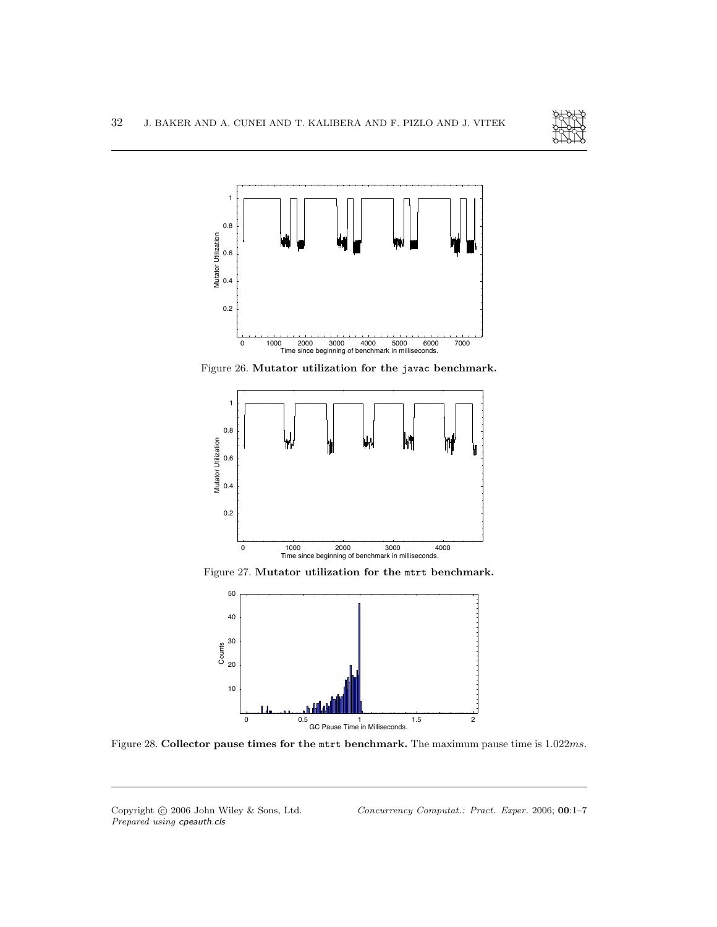



Figure 26. Mutator utilization for the javac benchmark.



Figure 27. Mutator utilization for the mtrt benchmark.



Figure 28. Collector pause times for the mtrt benchmark. The maximum pause time is  $1.022ms$ .

Copyright © 2006 John Wiley & Sons, Ltd. Concurrency Computat.: Pract. Exper. 2006; 00:1-7 Prepared using cpeauth.cls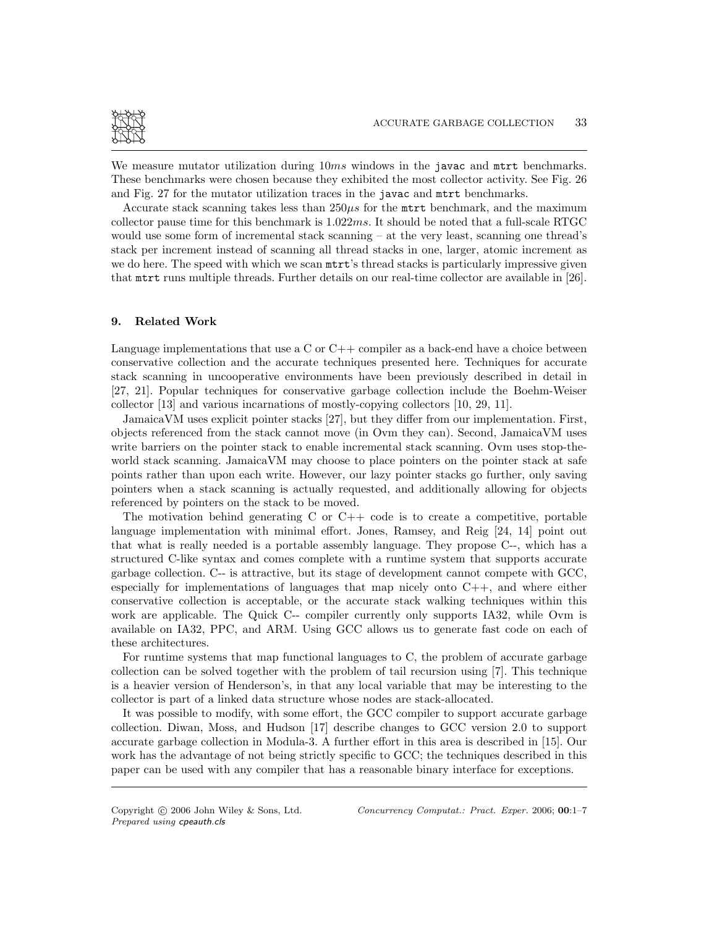We measure mutator utilization during 10ms windows in the javac and mtrt benchmarks. These benchmarks were chosen because they exhibited the most collector activity. See Fig. 26 and Fig. 27 for the mutator utilization traces in the javac and mtrt benchmarks.

Accurate stack scanning takes less than  $250\mu s$  for the mtrt benchmark, and the maximum collector pause time for this benchmark is  $1.022ms$ . It should be noted that a full-scale RTGC would use some form of incremental stack scanning – at the very least, scanning one thread's stack per increment instead of scanning all thread stacks in one, larger, atomic increment as we do here. The speed with which we scan  $m$ trt's thread stacks is particularly impressive given that mtrt runs multiple threads. Further details on our real-time collector are available in [26].

# 9. Related Work

Language implementations that use a C or  $C++$  compiler as a back-end have a choice between conservative collection and the accurate techniques presented here. Techniques for accurate stack scanning in uncooperative environments have been previously described in detail in [27, 21]. Popular techniques for conservative garbage collection include the Boehm-Weiser collector [13] and various incarnations of mostly-copying collectors [10, 29, 11].

JamaicaVM uses explicit pointer stacks [27], but they differ from our implementation. First, objects referenced from the stack cannot move (in Ovm they can). Second, JamaicaVM uses write barriers on the pointer stack to enable incremental stack scanning. Ovm uses stop-theworld stack scanning. JamaicaVM may choose to place pointers on the pointer stack at safe points rather than upon each write. However, our lazy pointer stacks go further, only saving pointers when a stack scanning is actually requested, and additionally allowing for objects referenced by pointers on the stack to be moved.

The motivation behind generating C or  $C++$  code is to create a competitive, portable language implementation with minimal effort. Jones, Ramsey, and Reig [24, 14] point out that what is really needed is a portable assembly language. They propose C--, which has a structured C-like syntax and comes complete with a runtime system that supports accurate garbage collection. C-- is attractive, but its stage of development cannot compete with GCC, especially for implementations of languages that map nicely onto  $C_{++}$ , and where either conservative collection is acceptable, or the accurate stack walking techniques within this work are applicable. The Quick C-- compiler currently only supports IA32, while Ovm is available on IA32, PPC, and ARM. Using GCC allows us to generate fast code on each of these architectures.

For runtime systems that map functional languages to C, the problem of accurate garbage collection can be solved together with the problem of tail recursion using [7]. This technique is a heavier version of Henderson's, in that any local variable that may be interesting to the collector is part of a linked data structure whose nodes are stack-allocated.

It was possible to modify, with some effort, the GCC compiler to support accurate garbage collection. Diwan, Moss, and Hudson [17] describe changes to GCC version 2.0 to support accurate garbage collection in Modula-3. A further effort in this area is described in [15]. Our work has the advantage of not being strictly specific to GCC; the techniques described in this paper can be used with any compiler that has a reasonable binary interface for exceptions.

Prepared using cpeauth.cls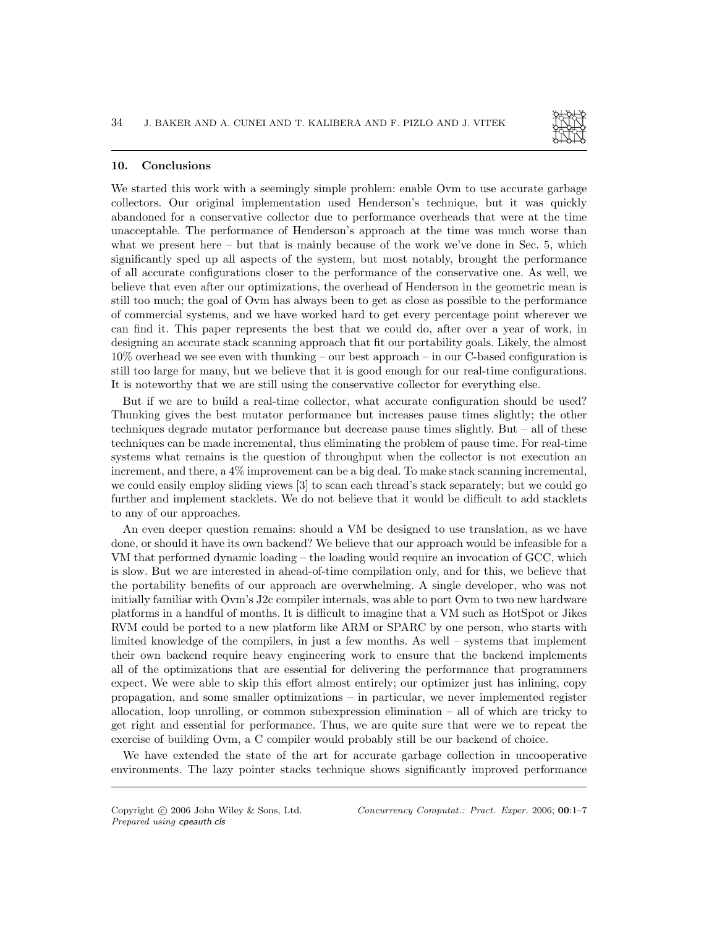

#### 10. Conclusions

We started this work with a seemingly simple problem: enable Ovm to use accurate garbage collectors. Our original implementation used Henderson's technique, but it was quickly abandoned for a conservative collector due to performance overheads that were at the time unacceptable. The performance of Henderson's approach at the time was much worse than what we present here – but that is mainly because of the work we've done in Sec. 5, which significantly sped up all aspects of the system, but most notably, brought the performance of all accurate configurations closer to the performance of the conservative one. As well, we believe that even after our optimizations, the overhead of Henderson in the geometric mean is still too much; the goal of Ovm has always been to get as close as possible to the performance of commercial systems, and we have worked hard to get every percentage point wherever we can find it. This paper represents the best that we could do, after over a year of work, in designing an accurate stack scanning approach that fit our portability goals. Likely, the almost 10% overhead we see even with thunking – our best approach – in our C-based configuration is still too large for many, but we believe that it is good enough for our real-time configurations. It is noteworthy that we are still using the conservative collector for everything else.

But if we are to build a real-time collector, what accurate configuration should be used? Thunking gives the best mutator performance but increases pause times slightly; the other techniques degrade mutator performance but decrease pause times slightly. But – all of these techniques can be made incremental, thus eliminating the problem of pause time. For real-time systems what remains is the question of throughput when the collector is not execution an increment, and there, a 4% improvement can be a big deal. To make stack scanning incremental, we could easily employ sliding views [3] to scan each thread's stack separately; but we could go further and implement stacklets. We do not believe that it would be difficult to add stacklets to any of our approaches.

An even deeper question remains: should a VM be designed to use translation, as we have done, or should it have its own backend? We believe that our approach would be infeasible for a VM that performed dynamic loading – the loading would require an invocation of GCC, which is slow. But we are interested in ahead-of-time compilation only, and for this, we believe that the portability benefits of our approach are overwhelming. A single developer, who was not initially familiar with Ovm's J2c compiler internals, was able to port Ovm to two new hardware platforms in a handful of months. It is difficult to imagine that a VM such as HotSpot or Jikes RVM could be ported to a new platform like ARM or SPARC by one person, who starts with limited knowledge of the compilers, in just a few months. As well – systems that implement their own backend require heavy engineering work to ensure that the backend implements all of the optimizations that are essential for delivering the performance that programmers expect. We were able to skip this effort almost entirely; our optimizer just has inlining, copy propagation, and some smaller optimizations – in particular, we never implemented register allocation, loop unrolling, or common subexpression elimination – all of which are tricky to get right and essential for performance. Thus, we are quite sure that were we to repeat the exercise of building Ovm, a C compiler would probably still be our backend of choice.

We have extended the state of the art for accurate garbage collection in uncooperative environments. The lazy pointer stacks technique shows significantly improved performance

Prepared using cpeauth.cls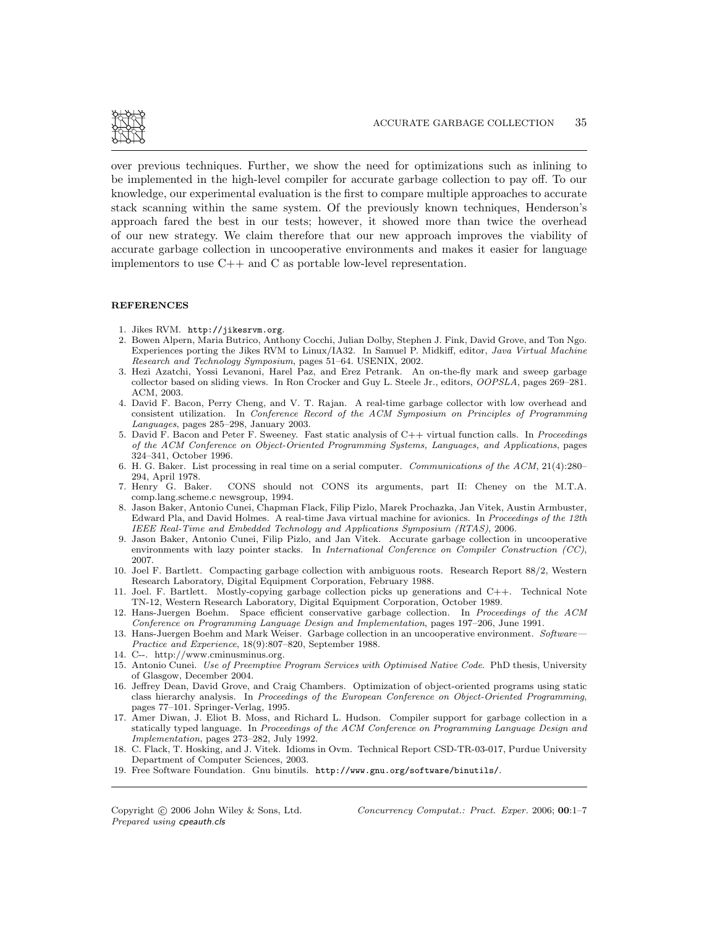

over previous techniques. Further, we show the need for optimizations such as inlining to be implemented in the high-level compiler for accurate garbage collection to pay off. To our knowledge, our experimental evaluation is the first to compare multiple approaches to accurate stack scanning within the same system. Of the previously known techniques, Henderson's approach fared the best in our tests; however, it showed more than twice the overhead of our new strategy. We claim therefore that our new approach improves the viability of accurate garbage collection in uncooperative environments and makes it easier for language implementors to use C++ and C as portable low-level representation.

#### **REFERENCES**

- 1. Jikes RVM. http://jikesrvm.org.
- 2. Bowen Alpern, Maria Butrico, Anthony Cocchi, Julian Dolby, Stephen J. Fink, David Grove, and Ton Ngo. Experiences porting the Jikes RVM to Linux/IA32. In Samuel P. Midkiff, editor, Java Virtual Machine Research and Technology Symposium, pages 51–64. USENIX, 2002.
- 3. Hezi Azatchi, Yossi Levanoni, Harel Paz, and Erez Petrank. An on-the-fly mark and sweep garbage collector based on sliding views. In Ron Crocker and Guy L. Steele Jr., editors, OOPSLA, pages 269–281. ACM, 2003.
- 4. David F. Bacon, Perry Cheng, and V. T. Rajan. A real-time garbage collector with low overhead and consistent utilization. In Conference Record of the ACM Symposium on Principles of Programming Languages, pages 285–298, January 2003.
- 5. David F. Bacon and Peter F. Sweeney. Fast static analysis of C++ virtual function calls. In Proceedings of the ACM Conference on Object-Oriented Programming Systems, Languages, and Applications, pages 324–341, October 1996.
- 6. H. G. Baker. List processing in real time on a serial computer. Communications of the ACM, 21(4):280– 294, April 1978.
- 7. Henry G. Baker. CONS should not CONS its arguments, part II: Cheney on the M.T.A. comp.lang.scheme.c newsgroup, 1994.
- 8. Jason Baker, Antonio Cunei, Chapman Flack, Filip Pizlo, Marek Prochazka, Jan Vitek, Austin Armbuster, Edward Pla, and David Holmes. A real-time Java virtual machine for avionics. In Proceedings of the 12th IEEE Real-Time and Embedded Technology and Applications Symposium (RTAS), 2006.
- 9. Jason Baker, Antonio Cunei, Filip Pizlo, and Jan Vitek. Accurate garbage collection in uncooperative environments with lazy pointer stacks. In International Conference on Compiler Construction (CC), 2007.
- 10. Joel F. Bartlett. Compacting garbage collection with ambiguous roots. Research Report 88/2, Western Research Laboratory, Digital Equipment Corporation, February 1988.
- 11. Joel. F. Bartlett. Mostly-copying garbage collection picks up generations and C++. Technical Note TN-12, Western Research Laboratory, Digital Equipment Corporation, October 1989.
- 12. Hans-Juergen Boehm. Space efficient conservative garbage collection. In Proceedings of the ACM Conference on Programming Language Design and Implementation, pages 197–206, June 1991.
- 13. Hans-Juergen Boehm and Mark Weiser. Garbage collection in an uncooperative environment. Software— Practice and Experience, 18(9):807–820, September 1988.
- 14. C--. http://www.cminusminus.org.
- 15. Antonio Cunei. Use of Preemptive Program Services with Optimised Native Code. PhD thesis, University of Glasgow, December 2004.
- 16. Jeffrey Dean, David Grove, and Craig Chambers. Optimization of object-oriented programs using static class hierarchy analysis. In Proceedings of the European Conference on Object-Oriented Programming, pages 77–101. Springer-Verlag, 1995.
- 17. Amer Diwan, J. Eliot B. Moss, and Richard L. Hudson. Compiler support for garbage collection in a statically typed language. In Proceedings of the ACM Conference on Programming Language Design and Implementation, pages 273–282, July 1992.
- 18. C. Flack, T. Hosking, and J. Vitek. Idioms in Ovm. Technical Report CSD-TR-03-017, Purdue University Department of Computer Sciences, 2003.
- 19. Free Software Foundation. Gnu binutils. http://www.gnu.org/software/binutils/.

Prepared using cpeauth.cls